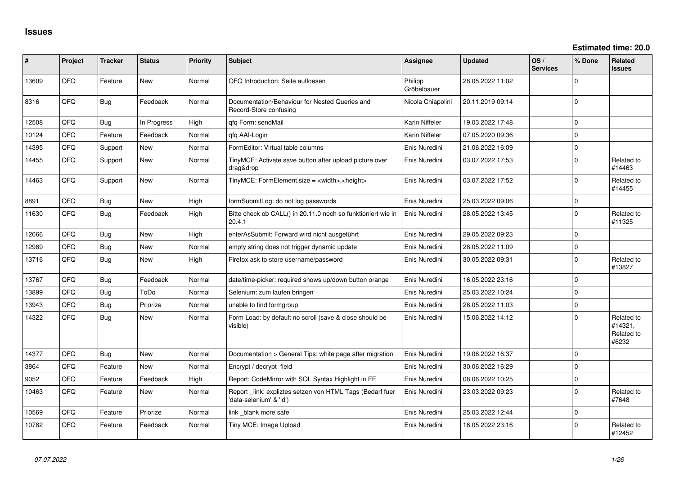| #     | Project | <b>Tracker</b> | <b>Status</b> | <b>Priority</b> | <b>Subject</b>                                                                      | <b>Assignee</b>        | <b>Updated</b>   | OS/<br><b>Services</b> | % Done      | Related<br><b>issues</b>                     |
|-------|---------|----------------|---------------|-----------------|-------------------------------------------------------------------------------------|------------------------|------------------|------------------------|-------------|----------------------------------------------|
| 13609 | QFQ     | Feature        | <b>New</b>    | Normal          | QFQ Introduction: Seite aufloesen                                                   | Philipp<br>Gröbelbauer | 28.05.2022 11:02 |                        | $\mathbf 0$ |                                              |
| 8316  | QFQ     | <b>Bug</b>     | Feedback      | Normal          | Documentation/Behaviour for Nested Queries and<br>Record-Store confusing            | Nicola Chiapolini      | 20.11.2019 09:14 |                        | $\mathbf 0$ |                                              |
| 12508 | QFQ     | <b>Bug</b>     | In Progress   | High            | qfq Form: sendMail                                                                  | Karin Niffeler         | 19.03.2022 17:48 |                        | $\mathbf 0$ |                                              |
| 10124 | QFQ     | Feature        | Feedback      | Normal          | gfg AAI-Login                                                                       | Karin Niffeler         | 07.05.2020 09:36 |                        | $\mathbf 0$ |                                              |
| 14395 | QFQ     | Support        | New           | Normal          | FormEditor: Virtual table columns                                                   | Enis Nuredini          | 21.06.2022 16:09 |                        | $\mathbf 0$ |                                              |
| 14455 | QFQ     | Support        | New           | Normal          | TinyMCE: Activate save button after upload picture over<br>drag&drop                | Enis Nuredini          | 03.07.2022 17:53 |                        | $\pmb{0}$   | Related to<br>#14463                         |
| 14463 | QFQ     | Support        | New           | Normal          | TinyMCE: FormElement.size = <width>,<height></height></width>                       | Enis Nuredini          | 03.07.2022 17:52 |                        | $\mathbf 0$ | Related to<br>#14455                         |
| 8891  | QFQ     | <b>Bug</b>     | <b>New</b>    | High            | formSubmitLog: do not log passwords                                                 | Enis Nuredini          | 25.03.2022 09:06 |                        | $\mathbf 0$ |                                              |
| 11630 | QFQ     | <b>Bug</b>     | Feedback      | High            | Bitte check ob CALL() in 20.11.0 noch so funktioniert wie in<br>20.4.1              | Enis Nuredini          | 28.05.2022 13:45 |                        | $\mathbf 0$ | Related to<br>#11325                         |
| 12066 | QFQ     | <b>Bug</b>     | <b>New</b>    | High            | enterAsSubmit: Forward wird nicht ausgeführt                                        | Enis Nuredini          | 29.05.2022 09:23 |                        | $\Omega$    |                                              |
| 12989 | QFQ     | <b>Bug</b>     | <b>New</b>    | Normal          | empty string does not trigger dynamic update                                        | Enis Nuredini          | 28.05.2022 11:09 |                        | $\mathbf 0$ |                                              |
| 13716 | QFQ     | <b>Bug</b>     | <b>New</b>    | High            | Firefox ask to store username/password                                              | Enis Nuredini          | 30.05.2022 09:31 |                        | $\Omega$    | Related to<br>#13827                         |
| 13767 | QFQ     | <b>Bug</b>     | Feedback      | Normal          | date/time-picker: required shows up/down button orange                              | Enis Nuredini          | 16.05.2022 23:16 |                        | $\mathbf 0$ |                                              |
| 13899 | QFQ     | <b>Bug</b>     | ToDo          | Normal          | Selenium: zum laufen bringen                                                        | Enis Nuredini          | 25.03.2022 10:24 |                        | $\mathbf 0$ |                                              |
| 13943 | QFQ     | Bug            | Priorize      | Normal          | unable to find formgroup                                                            | Enis Nuredini          | 28.05.2022 11:03 |                        | $\mathbf 0$ |                                              |
| 14322 | QFQ     | <b>Bug</b>     | New           | Normal          | Form Load: by default no scroll (save & close should be<br>visible)                 | Enis Nuredini          | 15.06.2022 14:12 |                        | $\mathbf 0$ | Related to<br>#14321,<br>Related to<br>#6232 |
| 14377 | QFQ     | <b>Bug</b>     | <b>New</b>    | Normal          | Documentation > General Tips: white page after migration                            | Enis Nuredini          | 19.06.2022 16:37 |                        | $\mathbf 0$ |                                              |
| 3864  | QFQ     | Feature        | New           | Normal          | Encrypt / decrypt field                                                             | Enis Nuredini          | 30.06.2022 16:29 |                        | $\mathbf 0$ |                                              |
| 9052  | QFQ     | Feature        | Feedback      | High            | Report: CodeMirror with SQL Syntax Highlight in FE                                  | Enis Nuredini          | 08.06.2022 10:25 |                        | $\mathbf 0$ |                                              |
| 10463 | QFQ     | Feature        | <b>New</b>    | Normal          | Report link: expliztes setzen von HTML Tags (Bedarf fuer<br>'data-selenium' & 'id') | Enis Nuredini          | 23.03.2022 09:23 |                        | $\Omega$    | Related to<br>#7648                          |
| 10569 | QFQ     | Feature        | Priorize      | Normal          | link blank more safe                                                                | Enis Nuredini          | 25.03.2022 12:44 |                        | $\mathbf 0$ |                                              |
| 10782 | QFQ     | Feature        | Feedback      | Normal          | Tiny MCE: Image Upload                                                              | Enis Nuredini          | 16.05.2022 23:16 |                        | $\Omega$    | Related to<br>#12452                         |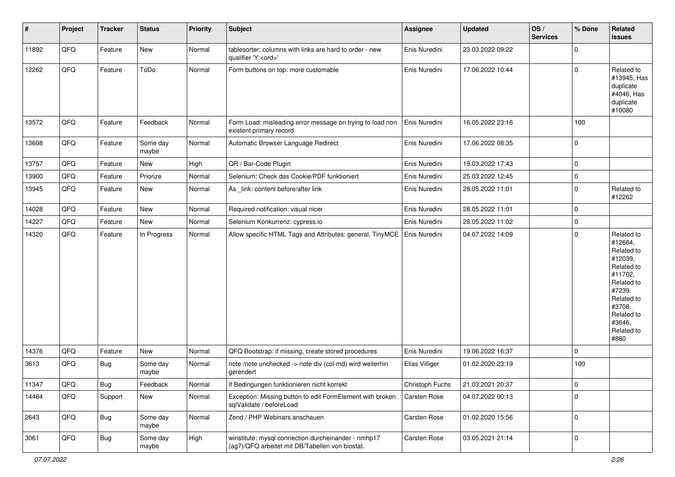| #     | Project | <b>Tracker</b> | <b>Status</b>     | <b>Priority</b> | <b>Subject</b>                                                                                         | <b>Assignee</b> | <b>Updated</b>   | OS/<br><b>Services</b> | % Done       | Related<br>issues                                                                                                                                                     |
|-------|---------|----------------|-------------------|-----------------|--------------------------------------------------------------------------------------------------------|-----------------|------------------|------------------------|--------------|-----------------------------------------------------------------------------------------------------------------------------------------------------------------------|
| 11892 | QFQ     | Feature        | New               | Normal          | tablesorter: columns with links are hard to order - new<br>qualifier 'Y: <ord>'</ord>                  | Enis Nuredini   | 23.03.2022 09:22 |                        | $\mathbf 0$  |                                                                                                                                                                       |
| 12262 | QFQ     | Feature        | ToDo              | Normal          | Form buttons on top: more customable                                                                   | Enis Nuredini   | 17.06.2022 10:44 |                        | $\mathbf 0$  | Related to<br>#13945, Has<br>duplicate<br>#4046, Has<br>duplicate<br>#10080                                                                                           |
| 13572 | QFQ     | Feature        | Feedback          | Normal          | Form Load: misleading error message on trying to load non<br>existent primary record                   | Enis Nuredini   | 16.05.2022 23:16 |                        | 100          |                                                                                                                                                                       |
| 13608 | QFQ     | Feature        | Some day<br>maybe | Normal          | Automatic Browser Language Redirect                                                                    | Enis Nuredini   | 17.06.2022 08:35 |                        | $\mathbf 0$  |                                                                                                                                                                       |
| 13757 | QFQ     | Feature        | New               | High            | QR / Bar-Code Plugin                                                                                   | Enis Nuredini   | 19.03.2022 17:43 |                        | $\pmb{0}$    |                                                                                                                                                                       |
| 13900 | QFQ     | Feature        | Priorize          | Normal          | Selenium: Check das Cookie/PDF funktioniert                                                            | Enis Nuredini   | 25.03.2022 12:45 |                        | $\mathbf 0$  |                                                                                                                                                                       |
| 13945 | QFQ     | Feature        | New               | Normal          | As _link: content before/after link                                                                    | Enis Nuredini   | 28.05.2022 11:01 |                        | $\mathbf 0$  | Related to<br>#12262                                                                                                                                                  |
| 14028 | QFQ     | Feature        | <b>New</b>        | Normal          | Required notification: visual nicer                                                                    | Enis Nuredini   | 28.05.2022 11:01 |                        | $\pmb{0}$    |                                                                                                                                                                       |
| 14227 | QFQ     | Feature        | New               | Normal          | Selenium Konkurrenz: cypress.io                                                                        | Enis Nuredini   | 28.05.2022 11:02 |                        | $\mathbf 0$  |                                                                                                                                                                       |
| 14320 | QFQ     | Feature        | In Progress       | Normal          | Allow specific HTML Tags and Attributes: general, TinyMCE                                              | Enis Nuredini   | 04.07.2022 14:09 |                        | $\mathbf 0$  | Related to<br>#12664,<br>Related to<br>#12039,<br>Related to<br>#11702,<br>Related to<br>#7239,<br>Related to<br>#3708,<br>Related to<br>#3646,<br>Related to<br>#880 |
| 14376 | QFQ     | Feature        | New               | Normal          | QFQ Bootstrap: if missing, create stored procedures                                                    | Enis Nuredini   | 19.06.2022 16:37 |                        | $\mathbf 0$  |                                                                                                                                                                       |
| 3613  | QFQ     | <b>Bug</b>     | Some day<br>maybe | Normal          | note /note unchecked -> note div (col-md) wird weiterhin<br>gerendert                                  | Elias Villiger  | 01.02.2020 23:19 |                        | 100          |                                                                                                                                                                       |
| 11347 | QFQ     | Bug            | Feedback          | Normal          | If Bedingungen funktionieren nicht korrekt                                                             | Christoph Fuchs | 21.03.2021 20:37 |                        | 0            |                                                                                                                                                                       |
| 14464 | QFQ     | Support        | New               | Normal          | Exception: Missing button to edit FormElement with broken<br>sqlValidate / beforeLoad                  | Carsten Rose    | 04.07.2022 00:13 |                        | $\mathbf{0}$ |                                                                                                                                                                       |
| 2643  | QFQ     | <b>Bug</b>     | Some day<br>maybe | Normal          | Zend / PHP Webinars anschauen                                                                          | Carsten Rose    | 01.02.2020 15:56 |                        | $\mathbf 0$  |                                                                                                                                                                       |
| 3061  | QFQ     | <b>Bug</b>     | Some day<br>maybe | High            | winstitute: mysql connection durcheinander - nmhp17<br>(ag7)/QFQ arbeitet mit DB/Tabellen von biostat. | Carsten Rose    | 03.05.2021 21:14 |                        | $\pmb{0}$    |                                                                                                                                                                       |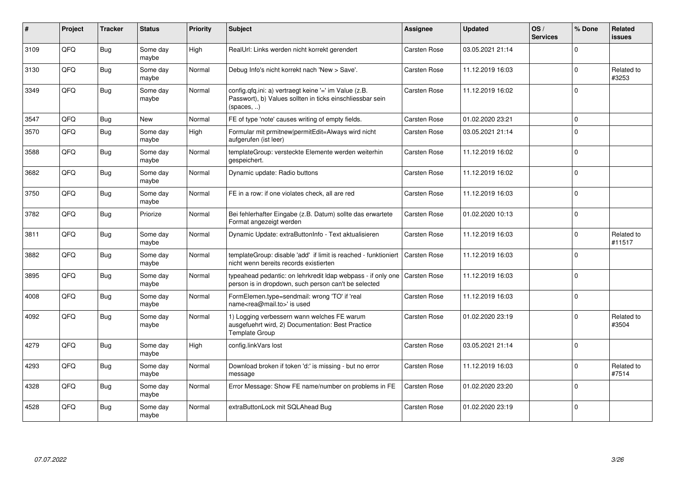| ∦    | Project | <b>Tracker</b> | <b>Status</b>     | <b>Priority</b> | <b>Subject</b>                                                                                                                   | <b>Assignee</b> | <b>Updated</b>   | OS/<br><b>Services</b> | % Done      | Related<br><b>issues</b> |
|------|---------|----------------|-------------------|-----------------|----------------------------------------------------------------------------------------------------------------------------------|-----------------|------------------|------------------------|-------------|--------------------------|
| 3109 | QFQ     | Bug            | Some day<br>maybe | High            | RealUrl: Links werden nicht korrekt gerendert                                                                                    | Carsten Rose    | 03.05.2021 21:14 |                        | $\Omega$    |                          |
| 3130 | QFQ     | Bug            | Some day<br>maybe | Normal          | Debug Info's nicht korrekt nach 'New > Save'.                                                                                    | Carsten Rose    | 11.12.2019 16:03 |                        | $\Omega$    | Related to<br>#3253      |
| 3349 | QFQ     | Bug            | Some day<br>maybe | Normal          | config.qfq.ini: a) vertraegt keine '=' im Value (z.B.<br>Passwort), b) Values sollten in ticks einschliessbar sein<br>(spaces, ) | Carsten Rose    | 11.12.2019 16:02 |                        | $\mathbf 0$ |                          |
| 3547 | QFQ     | Bug            | New               | Normal          | FE of type 'note' causes writing of empty fields.                                                                                | Carsten Rose    | 01.02.2020 23:21 |                        | $\mathbf 0$ |                          |
| 3570 | QFQ     | Bug            | Some day<br>maybe | High            | Formular mit prmitnew permitEdit=Always wird nicht<br>aufgerufen (ist leer)                                                      | Carsten Rose    | 03.05.2021 21:14 |                        | $\mathbf 0$ |                          |
| 3588 | QFQ     | <b>Bug</b>     | Some day<br>maybe | Normal          | templateGroup: versteckte Elemente werden weiterhin<br>gespeichert.                                                              | Carsten Rose    | 11.12.2019 16:02 |                        | $\mathbf 0$ |                          |
| 3682 | QFQ     | <b>Bug</b>     | Some day<br>maybe | Normal          | Dynamic update: Radio buttons                                                                                                    | Carsten Rose    | 11.12.2019 16:02 |                        | $\Omega$    |                          |
| 3750 | QFQ     | Bug            | Some day<br>maybe | Normal          | FE in a row: if one violates check, all are red                                                                                  | Carsten Rose    | 11.12.2019 16:03 |                        | $\mathbf 0$ |                          |
| 3782 | QFQ     | Bug            | Priorize          | Normal          | Bei fehlerhafter Eingabe (z.B. Datum) sollte das erwartete<br>Format angezeigt werden                                            | Carsten Rose    | 01.02.2020 10:13 |                        | $\mathbf 0$ |                          |
| 3811 | QFQ     | Bug            | Some day<br>maybe | Normal          | Dynamic Update: extraButtonInfo - Text aktualisieren                                                                             | Carsten Rose    | 11.12.2019 16:03 |                        | $\mathbf 0$ | Related to<br>#11517     |
| 3882 | QFQ     | Bug            | Some day<br>maybe | Normal          | templateGroup: disable 'add' if limit is reached - funktioniert<br>nicht wenn bereits records existierten                        | Carsten Rose    | 11.12.2019 16:03 |                        | $\mathbf 0$ |                          |
| 3895 | QFQ     | Bug            | Some day<br>maybe | Normal          | typeahead pedantic: on lehrkredit Idap webpass - if only one<br>person is in dropdown, such person can't be selected             | Carsten Rose    | 11.12.2019 16:03 |                        | $\mathsf 0$ |                          |
| 4008 | QFQ     | Bug            | Some day<br>maybe | Normal          | FormElemen.type=sendmail: wrong 'TO' if 'real<br>name <rea@mail.to>' is used</rea@mail.to>                                       | Carsten Rose    | 11.12.2019 16:03 |                        | $\mathbf 0$ |                          |
| 4092 | QFQ     | Bug            | Some day<br>maybe | Normal          | 1) Logging verbessern wann welches FE warum<br>ausgefuehrt wird, 2) Documentation: Best Practice<br>Template Group               | Carsten Rose    | 01.02.2020 23:19 |                        | $\Omega$    | Related to<br>#3504      |
| 4279 | QFQ     | Bug            | Some day<br>maybe | High            | config.linkVars lost                                                                                                             | Carsten Rose    | 03.05.2021 21:14 |                        | $\mathbf 0$ |                          |
| 4293 | QFQ     | Bug            | Some day<br>maybe | Normal          | Download broken if token 'd:' is missing - but no error<br>message                                                               | Carsten Rose    | 11.12.2019 16:03 |                        | $\mathbf 0$ | Related to<br>#7514      |
| 4328 | QFQ     | Bug            | Some day<br>maybe | Normal          | Error Message: Show FE name/number on problems in FE                                                                             | Carsten Rose    | 01.02.2020 23:20 |                        | $\Omega$    |                          |
| 4528 | QFQ     | Bug            | Some day<br>maybe | Normal          | extraButtonLock mit SQLAhead Bug                                                                                                 | Carsten Rose    | 01.02.2020 23:19 |                        | $\mathbf 0$ |                          |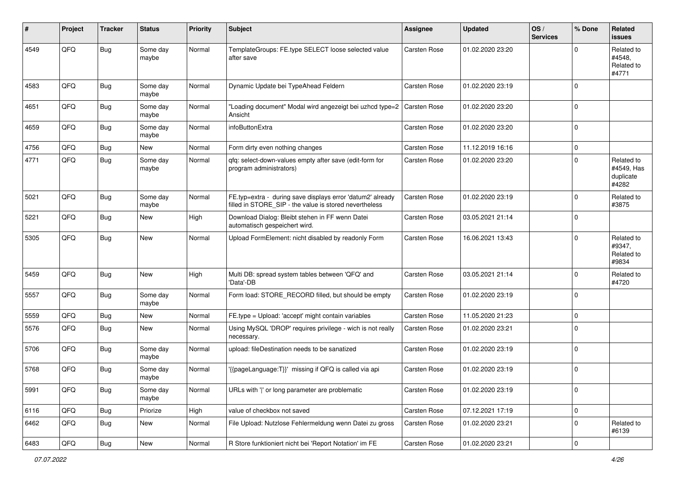| #    | Project | <b>Tracker</b> | <b>Status</b>     | <b>Priority</b> | <b>Subject</b>                                                                                                       | <b>Assignee</b> | <b>Updated</b>   | OS/<br><b>Services</b> | % Done      | Related<br><b>issues</b>                       |
|------|---------|----------------|-------------------|-----------------|----------------------------------------------------------------------------------------------------------------------|-----------------|------------------|------------------------|-------------|------------------------------------------------|
| 4549 | QFQ     | <b>Bug</b>     | Some day<br>maybe | Normal          | TemplateGroups: FE.type SELECT loose selected value<br>after save                                                    | Carsten Rose    | 01.02.2020 23:20 |                        | $\Omega$    | Related to<br>#4548.<br>Related to<br>#4771    |
| 4583 | QFQ     | Bug            | Some day<br>maybe | Normal          | Dynamic Update bei TypeAhead Feldern                                                                                 | Carsten Rose    | 01.02.2020 23:19 |                        | $\mathbf 0$ |                                                |
| 4651 | QFQ     | <b>Bug</b>     | Some day<br>maybe | Normal          | "Loading document" Modal wird angezeigt bei uzhcd type=2<br>Ansicht                                                  | Carsten Rose    | 01.02.2020 23:20 |                        | $\mathbf 0$ |                                                |
| 4659 | QFQ     | Bug            | Some day<br>maybe | Normal          | infoButtonExtra                                                                                                      | Carsten Rose    | 01.02.2020 23:20 |                        | $\mathbf 0$ |                                                |
| 4756 | QFQ     | Bug            | <b>New</b>        | Normal          | Form dirty even nothing changes                                                                                      | Carsten Rose    | 11.12.2019 16:16 |                        | $\mathbf 0$ |                                                |
| 4771 | QFQ     | Bug            | Some day<br>maybe | Normal          | qfq: select-down-values empty after save (edit-form for<br>program administrators)                                   | Carsten Rose    | 01.02.2020 23:20 |                        | $\Omega$    | Related to<br>#4549, Has<br>duplicate<br>#4282 |
| 5021 | QFQ     | Bug            | Some day<br>maybe | Normal          | FE.typ=extra - during save displays error 'datum2' already<br>filled in STORE SIP - the value is stored nevertheless | Carsten Rose    | 01.02.2020 23:19 |                        | $\mathbf 0$ | Related to<br>#3875                            |
| 5221 | QFQ     | Bug            | New               | High            | Download Dialog: Bleibt stehen in FF wenn Datei<br>automatisch gespeichert wird.                                     | Carsten Rose    | 03.05.2021 21:14 |                        | $\mathbf 0$ |                                                |
| 5305 | QFQ     | <b>Bug</b>     | <b>New</b>        | Normal          | Upload FormElement: nicht disabled by readonly Form                                                                  | Carsten Rose    | 16.06.2021 13:43 |                        | $\mathbf 0$ | Related to<br>#9347,<br>Related to<br>#9834    |
| 5459 | QFQ     | <b>Bug</b>     | <b>New</b>        | High            | Multi DB: spread system tables between 'QFQ' and<br>'Data'-DB                                                        | Carsten Rose    | 03.05.2021 21:14 |                        | $\mathbf 0$ | Related to<br>#4720                            |
| 5557 | QFQ     | Bug            | Some day<br>maybe | Normal          | Form load: STORE_RECORD filled, but should be empty                                                                  | Carsten Rose    | 01.02.2020 23:19 |                        | $\mathbf 0$ |                                                |
| 5559 | QFQ     | Bug            | New               | Normal          | FE.type = Upload: 'accept' might contain variables                                                                   | Carsten Rose    | 11.05.2020 21:23 |                        | $\mathbf 0$ |                                                |
| 5576 | QFQ     | <b>Bug</b>     | <b>New</b>        | Normal          | Using MySQL 'DROP' requires privilege - wich is not really<br>necessary.                                             | Carsten Rose    | 01.02.2020 23:21 |                        | $\mathbf 0$ |                                                |
| 5706 | QFQ     | <b>Bug</b>     | Some day<br>maybe | Normal          | upload: fileDestination needs to be sanatized                                                                        | Carsten Rose    | 01.02.2020 23:19 |                        | $\mathbf 0$ |                                                |
| 5768 | QFQ     | Bug            | Some day<br>maybe | Normal          | '{{pageLanguage:T}}' missing if QFQ is called via api                                                                | Carsten Rose    | 01.02.2020 23:19 |                        | $\mathbf 0$ |                                                |
| 5991 | QFQ     | <b>Bug</b>     | Some day<br>maybe | Normal          | URLs with ' ' or long parameter are problematic                                                                      | Carsten Rose    | 01.02.2020 23:19 |                        | $\pmb{0}$   |                                                |
| 6116 | QFQ     | <b>Bug</b>     | Priorize          | High            | value of checkbox not saved                                                                                          | Carsten Rose    | 07.12.2021 17:19 |                        | $\mathbf 0$ |                                                |
| 6462 | QFQ     | <b>Bug</b>     | New               | Normal          | File Upload: Nutzlose Fehlermeldung wenn Datei zu gross                                                              | Carsten Rose    | 01.02.2020 23:21 |                        | $\pmb{0}$   | Related to<br>#6139                            |
| 6483 | QFQ     | Bug            | New               | Normal          | R Store funktioniert nicht bei 'Report Notation' im FE                                                               | Carsten Rose    | 01.02.2020 23:21 |                        | $\pmb{0}$   |                                                |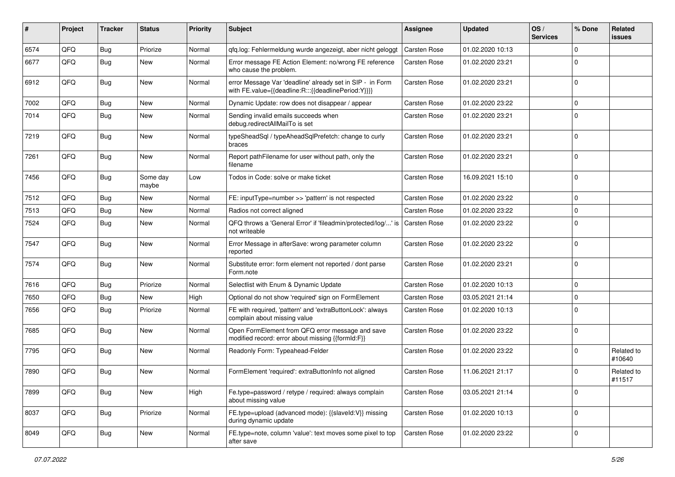| #    | Project | <b>Tracker</b> | <b>Status</b>     | <b>Priority</b> | Subject                                                                                                          | Assignee     | <b>Updated</b>   | OS/<br><b>Services</b> | % Done      | Related<br><b>issues</b> |
|------|---------|----------------|-------------------|-----------------|------------------------------------------------------------------------------------------------------------------|--------------|------------------|------------------------|-------------|--------------------------|
| 6574 | QFQ     | <b>Bug</b>     | Priorize          | Normal          | qfq.log: Fehlermeldung wurde angezeigt, aber nicht geloggt                                                       | Carsten Rose | 01.02.2020 10:13 |                        | $\Omega$    |                          |
| 6677 | QFQ     | Bug            | New               | Normal          | Error message FE Action Element: no/wrong FE reference<br>who cause the problem.                                 | Carsten Rose | 01.02.2020 23:21 |                        | $\mathbf 0$ |                          |
| 6912 | QFQ     | <b>Bug</b>     | <b>New</b>        | Normal          | error Message Var 'deadline' already set in SIP - in Form<br>with FE.value={{deadline:R:::{{deadlinePeriod:Y}}}} | Carsten Rose | 01.02.2020 23:21 |                        | $\mathbf 0$ |                          |
| 7002 | QFQ     | <b>Bug</b>     | New               | Normal          | Dynamic Update: row does not disappear / appear                                                                  | Carsten Rose | 01.02.2020 23:22 |                        | $\mathbf 0$ |                          |
| 7014 | QFQ     | Bug            | <b>New</b>        | Normal          | Sending invalid emails succeeds when<br>debug.redirectAllMailTo is set                                           | Carsten Rose | 01.02.2020 23:21 |                        | $\Omega$    |                          |
| 7219 | QFQ     | <b>Bug</b>     | New               | Normal          | typeSheadSql / typeAheadSqlPrefetch: change to curly<br>braces                                                   | Carsten Rose | 01.02.2020 23:21 |                        | $\mathbf 0$ |                          |
| 7261 | QFQ     | <b>Bug</b>     | New               | Normal          | Report pathFilename for user without path, only the<br>filename                                                  | Carsten Rose | 01.02.2020 23:21 |                        | $\mathbf 0$ |                          |
| 7456 | QFQ     | <b>Bug</b>     | Some day<br>maybe | Low             | Todos in Code: solve or make ticket                                                                              | Carsten Rose | 16.09.2021 15:10 |                        | $\mathbf 0$ |                          |
| 7512 | QFQ     | <b>Bug</b>     | <b>New</b>        | Normal          | FE: inputType=number >> 'pattern' is not respected                                                               | Carsten Rose | 01.02.2020 23:22 |                        | $\mathbf 0$ |                          |
| 7513 | QFQ     | Bug            | New               | Normal          | Radios not correct aligned                                                                                       | Carsten Rose | 01.02.2020 23:22 |                        | $\mathbf 0$ |                          |
| 7524 | QFQ     | <b>Bug</b>     | New               | Normal          | QFQ throws a 'General Error' if 'fileadmin/protected/log/' is<br>not writeable                                   | Carsten Rose | 01.02.2020 23:22 |                        | $\mathbf 0$ |                          |
| 7547 | QFQ     | <b>Bug</b>     | New               | Normal          | Error Message in afterSave: wrong parameter column<br>reported                                                   | Carsten Rose | 01.02.2020 23:22 |                        | $\mathbf 0$ |                          |
| 7574 | QFQ     | <b>Bug</b>     | <b>New</b>        | Normal          | Substitute error: form element not reported / dont parse<br>Form.note                                            | Carsten Rose | 01.02.2020 23:21 |                        | $\mathbf 0$ |                          |
| 7616 | QFQ     | Bug            | Priorize          | Normal          | Selectlist with Enum & Dynamic Update                                                                            | Carsten Rose | 01.02.2020 10:13 |                        | $\mathbf 0$ |                          |
| 7650 | QFQ     | Bug            | New               | High            | Optional do not show 'required' sign on FormElement                                                              | Carsten Rose | 03.05.2021 21:14 |                        | $\mathbf 0$ |                          |
| 7656 | QFQ     | <b>Bug</b>     | Priorize          | Normal          | FE with required, 'pattern' and 'extraButtonLock': always<br>complain about missing value                        | Carsten Rose | 01.02.2020 10:13 |                        | $\mathbf 0$ |                          |
| 7685 | QFQ     | <b>Bug</b>     | <b>New</b>        | Normal          | Open FormElement from QFQ error message and save<br>modified record: error about missing {{formId:F}}            | Carsten Rose | 01.02.2020 23:22 |                        | $\Omega$    |                          |
| 7795 | QFQ     | <b>Bug</b>     | <b>New</b>        | Normal          | Readonly Form: Typeahead-Felder                                                                                  | Carsten Rose | 01.02.2020 23:22 |                        | $\Omega$    | Related to<br>#10640     |
| 7890 | QFQ     | <b>Bug</b>     | New               | Normal          | FormElement 'required': extraButtonInfo not aligned                                                              | Carsten Rose | 11.06.2021 21:17 |                        | $\Omega$    | Related to<br>#11517     |
| 7899 | QFQ     | <b>Bug</b>     | New               | High            | Fe.type=password / retype / required: always complain<br>about missing value                                     | Carsten Rose | 03.05.2021 21:14 |                        | $\mathbf 0$ |                          |
| 8037 | QFQ     | <b>Bug</b>     | Priorize          | Normal          | FE.type=upload (advanced mode): {{slaveId:V}} missing<br>during dynamic update                                   | Carsten Rose | 01.02.2020 10:13 |                        | $\mathbf 0$ |                          |
| 8049 | QFQ     | <b>Bug</b>     | New               | Normal          | FE.type=note, column 'value': text moves some pixel to top<br>after save                                         | Carsten Rose | 01.02.2020 23:22 |                        | $\mathbf 0$ |                          |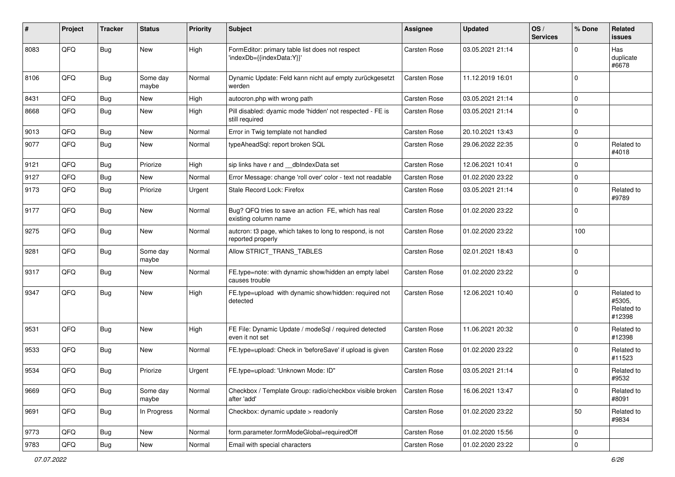| #    | Project | <b>Tracker</b> | <b>Status</b>     | <b>Priority</b> | <b>Subject</b>                                                                | <b>Assignee</b> | <b>Updated</b>   | OS/<br><b>Services</b> | % Done      | Related<br><b>issues</b>                     |
|------|---------|----------------|-------------------|-----------------|-------------------------------------------------------------------------------|-----------------|------------------|------------------------|-------------|----------------------------------------------|
| 8083 | QFQ     | <b>Bug</b>     | New               | High            | FormEditor: primary table list does not respect<br>'indexDb={{indexData:Y}}'  | Carsten Rose    | 03.05.2021 21:14 |                        | $\Omega$    | Has<br>duplicate<br>#6678                    |
| 8106 | QFQ     | <b>Bug</b>     | Some day<br>maybe | Normal          | Dynamic Update: Feld kann nicht auf empty zurückgesetzt<br>werden             | Carsten Rose    | 11.12.2019 16:01 |                        | $\Omega$    |                                              |
| 8431 | QFQ     | Bug            | <b>New</b>        | High            | autocron.php with wrong path                                                  | Carsten Rose    | 03.05.2021 21:14 |                        | $\mathbf 0$ |                                              |
| 8668 | QFQ     | Bug            | New               | High            | Pill disabled: dyamic mode 'hidden' not respected - FE is<br>still required   | Carsten Rose    | 03.05.2021 21:14 |                        | $\mathbf 0$ |                                              |
| 9013 | QFQ     | <b>Bug</b>     | New               | Normal          | Error in Twig template not handled                                            | Carsten Rose    | 20.10.2021 13:43 |                        | $\mathbf 0$ |                                              |
| 9077 | QFQ     | <b>Bug</b>     | <b>New</b>        | Normal          | typeAheadSql: report broken SQL                                               | Carsten Rose    | 29.06.2022 22:35 |                        | $\mathbf 0$ | Related to<br>#4018                          |
| 9121 | QFQ     | Bug            | Priorize          | High            | sip links have r and __dbIndexData set                                        | Carsten Rose    | 12.06.2021 10:41 |                        | $\mathbf 0$ |                                              |
| 9127 | QFQ     | Bug            | New               | Normal          | Error Message: change 'roll over' color - text not readable                   | Carsten Rose    | 01.02.2020 23:22 |                        | $\Omega$    |                                              |
| 9173 | QFQ     | Bug            | Priorize          | Urgent          | Stale Record Lock: Firefox                                                    | Carsten Rose    | 03.05.2021 21:14 |                        | $\mathbf 0$ | Related to<br>#9789                          |
| 9177 | QFQ     | <b>Bug</b>     | New               | Normal          | Bug? QFQ tries to save an action FE, which has real<br>existing column name   | Carsten Rose    | 01.02.2020 23:22 |                        | $\mathbf 0$ |                                              |
| 9275 | QFQ     | <b>Bug</b>     | New               | Normal          | autcron: t3 page, which takes to long to respond, is not<br>reported properly | Carsten Rose    | 01.02.2020 23:22 |                        | 100         |                                              |
| 9281 | QFQ     | <b>Bug</b>     | Some day<br>maybe | Normal          | Allow STRICT TRANS TABLES                                                     | Carsten Rose    | 02.01.2021 18:43 |                        | $\mathbf 0$ |                                              |
| 9317 | QFQ     | <b>Bug</b>     | <b>New</b>        | Normal          | FE.type=note: with dynamic show/hidden an empty label<br>causes trouble       | Carsten Rose    | 01.02.2020 23:22 |                        | $\mathbf 0$ |                                              |
| 9347 | QFQ     | <b>Bug</b>     | New               | High            | FE.type=upload with dynamic show/hidden: required not<br>detected             | Carsten Rose    | 12.06.2021 10:40 |                        | $\mathbf 0$ | Related to<br>#5305,<br>Related to<br>#12398 |
| 9531 | QFQ     | <b>Bug</b>     | <b>New</b>        | High            | FE File: Dynamic Update / modeSql / required detected<br>even it not set      | Carsten Rose    | 11.06.2021 20:32 |                        | $\mathbf 0$ | Related to<br>#12398                         |
| 9533 | QFQ     | <b>Bug</b>     | <b>New</b>        | Normal          | FE.type=upload: Check in 'beforeSave' if upload is given                      | Carsten Rose    | 01.02.2020 23:22 |                        | $\mathbf 0$ | Related to<br>#11523                         |
| 9534 | QFQ     | <b>Bug</b>     | Priorize          | Urgent          | FE.type=upload: 'Unknown Mode: ID"                                            | Carsten Rose    | 03.05.2021 21:14 |                        | $\mathbf 0$ | Related to<br>#9532                          |
| 9669 | QFQ     | <b>Bug</b>     | Some day<br>maybe | Normal          | Checkbox / Template Group: radio/checkbox visible broken<br>after 'add'       | Carsten Rose    | 16.06.2021 13:47 |                        | $\mathbf 0$ | Related to<br>#8091                          |
| 9691 | QFQ     | <b>Bug</b>     | In Progress       | Normal          | Checkbox: dynamic update > readonly                                           | Carsten Rose    | 01.02.2020 23:22 |                        | 50          | Related to<br>#9834                          |
| 9773 | QFQ     | <b>Bug</b>     | New               | Normal          | form.parameter.formModeGlobal=requiredOff                                     | Carsten Rose    | 01.02.2020 15:56 |                        | $\mathbf 0$ |                                              |
| 9783 | QFQ     | Bug            | New               | Normal          | Email with special characters                                                 | Carsten Rose    | 01.02.2020 23:22 |                        | $\mathbf 0$ |                                              |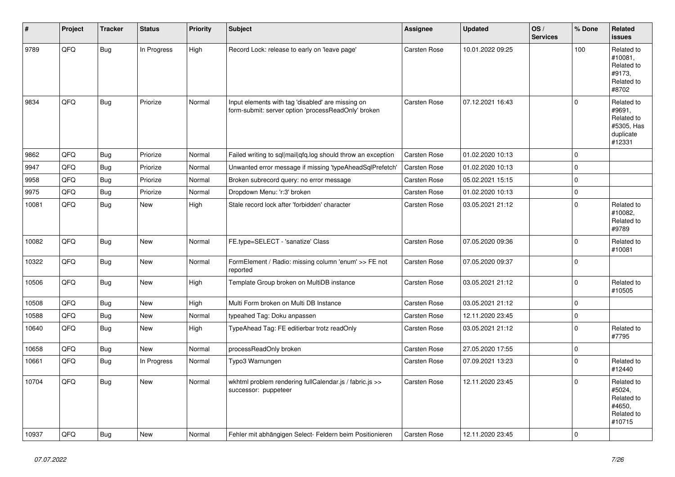| #     | Project | <b>Tracker</b> | <b>Status</b> | <b>Priority</b> | <b>Subject</b>                                                                                           | Assignee            | <b>Updated</b>   | OS/<br><b>Services</b> | % Done      | Related<br><b>issues</b>                                                |
|-------|---------|----------------|---------------|-----------------|----------------------------------------------------------------------------------------------------------|---------------------|------------------|------------------------|-------------|-------------------------------------------------------------------------|
| 9789  | QFQ     | <b>Bug</b>     | In Progress   | High            | Record Lock: release to early on 'leave page'                                                            | Carsten Rose        | 10.01.2022 09:25 |                        | 100         | Related to<br>#10081,<br>Related to<br>#9173,<br>Related to<br>#8702    |
| 9834  | QFQ     | <b>Bug</b>     | Priorize      | Normal          | Input elements with tag 'disabled' are missing on<br>form-submit: server option 'processReadOnly' broken | <b>Carsten Rose</b> | 07.12.2021 16:43 |                        | $\Omega$    | Related to<br>#9691,<br>Related to<br>#5305, Has<br>duplicate<br>#12331 |
| 9862  | QFQ     | <b>Bug</b>     | Priorize      | Normal          | Failed writing to sql mail qfq.log should throw an exception                                             | Carsten Rose        | 01.02.2020 10:13 |                        | $\Omega$    |                                                                         |
| 9947  | QFQ     | Bug            | Priorize      | Normal          | Unwanted error message if missing 'typeAheadSqlPrefetch'                                                 | Carsten Rose        | 01.02.2020 10:13 |                        | $\mathbf 0$ |                                                                         |
| 9958  | QFQ     | Bug            | Priorize      | Normal          | Broken subrecord query: no error message                                                                 | <b>Carsten Rose</b> | 05.02.2021 15:15 |                        | $\mathbf 0$ |                                                                         |
| 9975  | QFQ     | <b>Bug</b>     | Priorize      | Normal          | Dropdown Menu: 'r:3' broken                                                                              | <b>Carsten Rose</b> | 01.02.2020 10:13 |                        | $\pmb{0}$   |                                                                         |
| 10081 | QFQ     | <b>Bug</b>     | New           | High            | Stale record lock after 'forbidden' character                                                            | Carsten Rose        | 03.05.2021 21:12 |                        | $\Omega$    | Related to<br>#10082,<br>Related to<br>#9789                            |
| 10082 | QFQ     | <b>Bug</b>     | <b>New</b>    | Normal          | FE.type=SELECT - 'sanatize' Class                                                                        | Carsten Rose        | 07.05.2020 09:36 |                        | 0           | Related to<br>#10081                                                    |
| 10322 | QFQ     | Bug            | New           | Normal          | FormElement / Radio: missing column 'enum' >> FE not<br>reported                                         | Carsten Rose        | 07.05.2020 09:37 |                        | $\Omega$    |                                                                         |
| 10506 | QFQ     | <b>Bug</b>     | New           | High            | Template Group broken on MultiDB instance                                                                | Carsten Rose        | 03.05.2021 21:12 |                        | $\mathbf 0$ | Related to<br>#10505                                                    |
| 10508 | QFQ     | <b>Bug</b>     | New           | High            | Multi Form broken on Multi DB Instance                                                                   | <b>Carsten Rose</b> | 03.05.2021 21:12 |                        | $\pmb{0}$   |                                                                         |
| 10588 | QFQ     | <b>Bug</b>     | <b>New</b>    | Normal          | typeahed Tag: Doku anpassen                                                                              | Carsten Rose        | 12.11.2020 23:45 |                        | $\pmb{0}$   |                                                                         |
| 10640 | QFQ     | <b>Bug</b>     | <b>New</b>    | High            | TypeAhead Tag: FE editierbar trotz readOnly                                                              | Carsten Rose        | 03.05.2021 21:12 |                        | $\Omega$    | Related to<br>#7795                                                     |
| 10658 | QFQ     | <b>Bug</b>     | <b>New</b>    | Normal          | processReadOnly broken                                                                                   | <b>Carsten Rose</b> | 27.05.2020 17:55 |                        | $\pmb{0}$   |                                                                         |
| 10661 | QFQ     | <b>Bug</b>     | In Progress   | Normal          | Typo3 Warnungen                                                                                          | Carsten Rose        | 07.09.2021 13:23 |                        | $\Omega$    | Related to<br>#12440                                                    |
| 10704 | QFQ     | Bug            | New           | Normal          | wkhtml problem rendering fullCalendar.js / fabric.js >><br>successor: puppeteer                          | <b>Carsten Rose</b> | 12.11.2020 23:45 |                        | $\Omega$    | Related to<br>#5024,<br>Related to<br>#4650.<br>Related to<br>#10715    |
| 10937 | QFQ     | <b>Bug</b>     | New           | Normal          | Fehler mit abhängigen Select- Feldern beim Positionieren                                                 | <b>Carsten Rose</b> | 12.11.2020 23:45 |                        | $\Omega$    |                                                                         |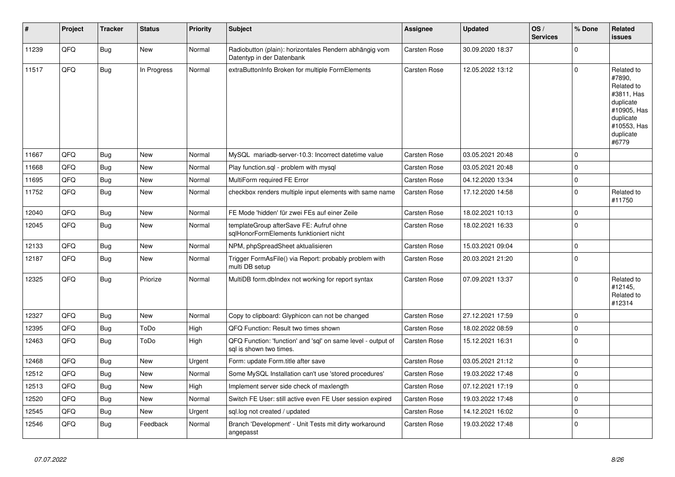| $\sharp$ | Project | <b>Tracker</b> | <b>Status</b> | <b>Priority</b> | <b>Subject</b>                                                                          | Assignee     | <b>Updated</b>   | OS/<br><b>Services</b> | % Done      | <b>Related</b><br><b>issues</b>                                                                                                |
|----------|---------|----------------|---------------|-----------------|-----------------------------------------------------------------------------------------|--------------|------------------|------------------------|-------------|--------------------------------------------------------------------------------------------------------------------------------|
| 11239    | QFQ     | <b>Bug</b>     | New           | Normal          | Radiobutton (plain): horizontales Rendern abhängig vom<br>Datentyp in der Datenbank     | Carsten Rose | 30.09.2020 18:37 |                        | $\mathbf 0$ |                                                                                                                                |
| 11517    | QFQ     | <b>Bug</b>     | In Progress   | Normal          | extraButtonInfo Broken for multiple FormElements                                        | Carsten Rose | 12.05.2022 13:12 |                        | $\mathbf 0$ | Related to<br>#7890,<br>Related to<br>#3811, Has<br>duplicate<br>#10905, Has<br>duplicate<br>#10553, Has<br>duplicate<br>#6779 |
| 11667    | QFQ     | Bug            | <b>New</b>    | Normal          | MySQL mariadb-server-10.3: Incorrect datetime value                                     | Carsten Rose | 03.05.2021 20:48 |                        | $\Omega$    |                                                                                                                                |
| 11668    | QFQ     | Bug            | New           | Normal          | Play function.sql - problem with mysql                                                  | Carsten Rose | 03.05.2021 20:48 |                        | $\mathbf 0$ |                                                                                                                                |
| 11695    | QFQ     | <b>Bug</b>     | New           | Normal          | MultiForm required FE Error                                                             | Carsten Rose | 04.12.2020 13:34 |                        | $\mathbf 0$ |                                                                                                                                |
| 11752    | QFQ     | Bug            | New           | Normal          | checkbox renders multiple input elements with same name                                 | Carsten Rose | 17.12.2020 14:58 |                        | $\mathbf 0$ | Related to<br>#11750                                                                                                           |
| 12040    | QFQ     | <b>Bug</b>     | New           | Normal          | FE Mode 'hidden' für zwei FEs auf einer Zeile                                           | Carsten Rose | 18.02.2021 10:13 |                        | $\mathbf 0$ |                                                                                                                                |
| 12045    | QFQ     | <b>Bug</b>     | New           | Normal          | templateGroup afterSave FE: Aufruf ohne<br>sqlHonorFormElements funktioniert nicht      | Carsten Rose | 18.02.2021 16:33 |                        | $\mathbf 0$ |                                                                                                                                |
| 12133    | QFQ     | Bug            | New           | Normal          | NPM, phpSpreadSheet aktualisieren                                                       | Carsten Rose | 15.03.2021 09:04 |                        | $\Omega$    |                                                                                                                                |
| 12187    | QFQ     | Bug            | New           | Normal          | Trigger FormAsFile() via Report: probably problem with<br>multi DB setup                | Carsten Rose | 20.03.2021 21:20 |                        | $\mathbf 0$ |                                                                                                                                |
| 12325    | QFQ     | Bug            | Priorize      | Normal          | MultiDB form.dblndex not working for report syntax                                      | Carsten Rose | 07.09.2021 13:37 |                        | $\Omega$    | Related to<br>#12145,<br>Related to<br>#12314                                                                                  |
| 12327    | QFQ     | Bug            | New           | Normal          | Copy to clipboard: Glyphicon can not be changed                                         | Carsten Rose | 27.12.2021 17:59 |                        | $\mathbf 0$ |                                                                                                                                |
| 12395    | QFQ     | Bug            | ToDo          | High            | QFQ Function: Result two times shown                                                    | Carsten Rose | 18.02.2022 08:59 |                        | $\mathbf 0$ |                                                                                                                                |
| 12463    | QFQ     | Bug            | ToDo          | High            | QFQ Function: 'function' and 'sql' on same level - output of<br>sal is shown two times. | Carsten Rose | 15.12.2021 16:31 |                        | $\Omega$    |                                                                                                                                |
| 12468    | QFQ     | Bug            | New           | Urgent          | Form: update Form.title after save                                                      | Carsten Rose | 03.05.2021 21:12 |                        | $\mathbf 0$ |                                                                                                                                |
| 12512    | QFQ     | Bug            | New           | Normal          | Some MySQL Installation can't use 'stored procedures'                                   | Carsten Rose | 19.03.2022 17:48 |                        | $\Omega$    |                                                                                                                                |
| 12513    | QFQ     | Bug            | New           | High            | Implement server side check of maxlength                                                | Carsten Rose | 07.12.2021 17:19 |                        | $\mathbf 0$ |                                                                                                                                |
| 12520    | QFQ     | Bug            | New           | Normal          | Switch FE User: still active even FE User session expired                               | Carsten Rose | 19.03.2022 17:48 |                        | $\mathbf 0$ |                                                                                                                                |
| 12545    | QFQ     | Bug            | New           | Urgent          | sql.log not created / updated                                                           | Carsten Rose | 14.12.2021 16:02 |                        | $\mathbf 0$ |                                                                                                                                |
| 12546    | QFQ     | Bug            | Feedback      | Normal          | Branch 'Development' - Unit Tests mit dirty workaround<br>angepasst                     | Carsten Rose | 19.03.2022 17:48 |                        | $\Omega$    |                                                                                                                                |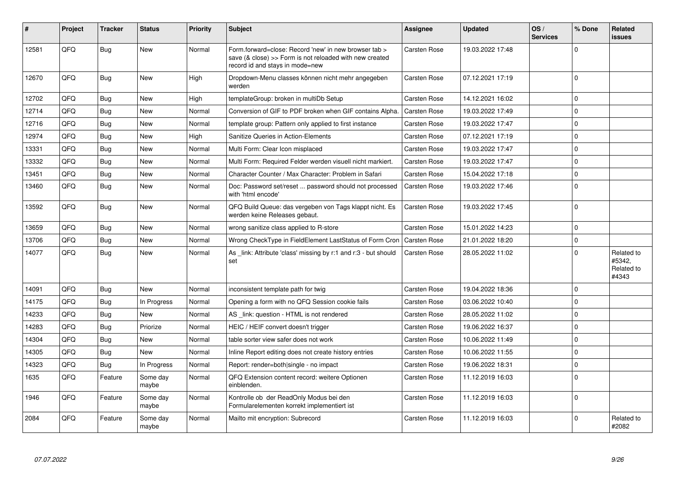| #     | Project    | <b>Tracker</b> | <b>Status</b>     | <b>Priority</b> | <b>Subject</b>                                                                                                                                      | <b>Assignee</b>     | <b>Updated</b>   | OS/<br><b>Services</b> | % Done       | Related<br><b>issues</b>                    |
|-------|------------|----------------|-------------------|-----------------|-----------------------------------------------------------------------------------------------------------------------------------------------------|---------------------|------------------|------------------------|--------------|---------------------------------------------|
| 12581 | QFQ        | <b>Bug</b>     | <b>New</b>        | Normal          | Form.forward=close: Record 'new' in new browser tab ><br>save (& close) >> Form is not reloaded with new created<br>record id and stays in mode=new | <b>Carsten Rose</b> | 19.03.2022 17:48 |                        | $\Omega$     |                                             |
| 12670 | QFQ        | Bug            | <b>New</b>        | High            | Dropdown-Menu classes können nicht mehr angegeben<br>werden                                                                                         | Carsten Rose        | 07.12.2021 17:19 |                        | $\Omega$     |                                             |
| 12702 | QFQ        | Bug            | <b>New</b>        | High            | templateGroup: broken in multiDb Setup                                                                                                              | Carsten Rose        | 14.12.2021 16:02 |                        | $\mathbf 0$  |                                             |
| 12714 | QFQ        | <b>Bug</b>     | New               | Normal          | Conversion of GIF to PDF broken when GIF contains Alpha.                                                                                            | Carsten Rose        | 19.03.2022 17:49 |                        | $\mathbf{0}$ |                                             |
| 12716 | QFQ        | Bug            | <b>New</b>        | Normal          | template group: Pattern only applied to first instance                                                                                              | Carsten Rose        | 19.03.2022 17:47 |                        | $\pmb{0}$    |                                             |
| 12974 | QFQ        | Bug            | <b>New</b>        | High            | Sanitize Queries in Action-Elements                                                                                                                 | <b>Carsten Rose</b> | 07.12.2021 17:19 |                        | $\mathbf 0$  |                                             |
| 13331 | QFQ        | Bug            | <b>New</b>        | Normal          | Multi Form: Clear Icon misplaced                                                                                                                    | <b>Carsten Rose</b> | 19.03.2022 17:47 |                        | $\mathbf 0$  |                                             |
| 13332 | QFQ        | Bug            | <b>New</b>        | Normal          | Multi Form: Required Felder werden visuell nicht markiert.                                                                                          | Carsten Rose        | 19.03.2022 17:47 |                        | $\pmb{0}$    |                                             |
| 13451 | QFQ        | Bug            | <b>New</b>        | Normal          | Character Counter / Max Character: Problem in Safari                                                                                                | <b>Carsten Rose</b> | 15.04.2022 17:18 |                        | $\mathsf 0$  |                                             |
| 13460 | QFQ        | <b>Bug</b>     | <b>New</b>        | Normal          | Doc: Password set/reset  password should not processed<br>with 'html encode'                                                                        | Carsten Rose        | 19.03.2022 17:46 |                        | $\mathbf 0$  |                                             |
| 13592 | QFQ        | Bug            | <b>New</b>        | Normal          | QFQ Build Queue: das vergeben von Tags klappt nicht. Es<br>werden keine Releases gebaut.                                                            | Carsten Rose        | 19.03.2022 17:45 |                        | $\mathbf{0}$ |                                             |
| 13659 | QFQ        | Bug            | <b>New</b>        | Normal          | wrong sanitize class applied to R-store                                                                                                             | Carsten Rose        | 15.01.2022 14:23 |                        | $\pmb{0}$    |                                             |
| 13706 | QFQ        | Bug            | <b>New</b>        | Normal          | Wrong CheckType in FieldElement LastStatus of Form Cron                                                                                             | Carsten Rose        | 21.01.2022 18:20 |                        | $\mathbf{0}$ |                                             |
| 14077 | QFQ        | <b>Bug</b>     | <b>New</b>        | Normal          | As link: Attribute 'class' missing by r:1 and r:3 - but should<br>set                                                                               | Carsten Rose        | 28.05.2022 11:02 |                        | $\mathbf 0$  | Related to<br>#5342.<br>Related to<br>#4343 |
| 14091 | QFQ        | <b>Bug</b>     | <b>New</b>        | Normal          | inconsistent template path for twig                                                                                                                 | <b>Carsten Rose</b> | 19.04.2022 18:36 |                        | $\Omega$     |                                             |
| 14175 | QFQ        | Bug            | In Progress       | Normal          | Opening a form with no QFQ Session cookie fails                                                                                                     | <b>Carsten Rose</b> | 03.06.2022 10:40 |                        | $\mathbf{0}$ |                                             |
| 14233 | QFQ        | <b>Bug</b>     | <b>New</b>        | Normal          | AS link: question - HTML is not rendered                                                                                                            | <b>Carsten Rose</b> | 28.05.2022 11:02 |                        | $\mathbf{0}$ |                                             |
| 14283 | QFQ        | <b>Bug</b>     | Priorize          | Normal          | HEIC / HEIF convert doesn't trigger                                                                                                                 | <b>Carsten Rose</b> | 19.06.2022 16:37 |                        | $\mathbf 0$  |                                             |
| 14304 | <b>OFO</b> | Bug            | <b>New</b>        | Normal          | table sorter view safer does not work                                                                                                               | Carsten Rose        | 10.06.2022 11:49 |                        | $\Omega$     |                                             |
| 14305 | QFQ        | Bug            | <b>New</b>        | Normal          | Inline Report editing does not create history entries                                                                                               | <b>Carsten Rose</b> | 10.06.2022 11:55 |                        | $\mathbf 0$  |                                             |
| 14323 | QFQ        | <b>Bug</b>     | In Progress       | Normal          | Report: render=both single - no impact                                                                                                              | <b>Carsten Rose</b> | 19.06.2022 18:31 |                        | $\mathbf 0$  |                                             |
| 1635  | QFQ        | Feature        | Some day<br>maybe | Normal          | QFQ Extension content record: weitere Optionen<br>einblenden.                                                                                       | Carsten Rose        | 11.12.2019 16:03 |                        | $\Omega$     |                                             |
| 1946  | QFQ        | Feature        | Some day<br>maybe | Normal          | Kontrolle ob der ReadOnly Modus bei den<br>Formularelementen korrekt implementiert ist                                                              | <b>Carsten Rose</b> | 11.12.2019 16:03 |                        | $\mathbf 0$  |                                             |
| 2084  | QFQ        | Feature        | Some day<br>maybe | Normal          | Mailto mit encryption: Subrecord                                                                                                                    | <b>Carsten Rose</b> | 11.12.2019 16:03 |                        | $\mathbf 0$  | Related to<br>#2082                         |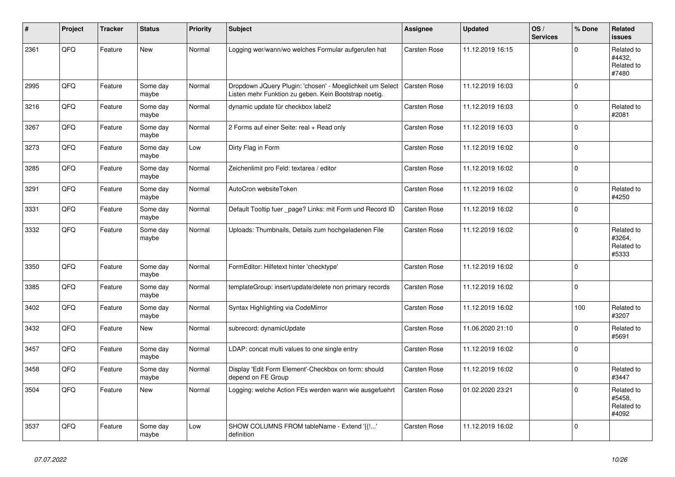| #    | Project | <b>Tracker</b> | <b>Status</b>     | <b>Priority</b> | <b>Subject</b>                                                                                                     | <b>Assignee</b>     | <b>Updated</b>   | OS/<br><b>Services</b> | % Done      | Related<br><b>issues</b>                    |
|------|---------|----------------|-------------------|-----------------|--------------------------------------------------------------------------------------------------------------------|---------------------|------------------|------------------------|-------------|---------------------------------------------|
| 2361 | QFQ     | Feature        | <b>New</b>        | Normal          | Logging wer/wann/wo welches Formular aufgerufen hat                                                                | Carsten Rose        | 11.12.2019 16:15 |                        | $\Omega$    | Related to<br>#4432.<br>Related to<br>#7480 |
| 2995 | QFQ     | Feature        | Some day<br>maybe | Normal          | Dropdown JQuery Plugin: 'chosen' - Moeglichkeit um Select<br>Listen mehr Funktion zu geben. Kein Bootstrap noetig. | <b>Carsten Rose</b> | 11.12.2019 16:03 |                        | $\mathbf 0$ |                                             |
| 3216 | QFQ     | Feature        | Some day<br>maybe | Normal          | dynamic update für checkbox label2                                                                                 | <b>Carsten Rose</b> | 11.12.2019 16:03 |                        | $\mathbf 0$ | Related to<br>#2081                         |
| 3267 | QFQ     | Feature        | Some day<br>maybe | Normal          | 2 Forms auf einer Seite: real + Read only                                                                          | Carsten Rose        | 11.12.2019 16:03 |                        | $\Omega$    |                                             |
| 3273 | QFQ     | Feature        | Some day<br>maybe | Low             | Dirty Flag in Form                                                                                                 | Carsten Rose        | 11.12.2019 16:02 |                        | $\mathbf 0$ |                                             |
| 3285 | QFQ     | Feature        | Some day<br>maybe | Normal          | Zeichenlimit pro Feld: textarea / editor                                                                           | Carsten Rose        | 11.12.2019 16:02 |                        | $\Omega$    |                                             |
| 3291 | QFQ     | Feature        | Some day<br>maybe | Normal          | AutoCron websiteToken                                                                                              | Carsten Rose        | 11.12.2019 16:02 |                        | $\mathbf 0$ | Related to<br>#4250                         |
| 3331 | QFQ     | Feature        | Some day<br>maybe | Normal          | Default Tooltip fuer _page? Links: mit Form und Record ID                                                          | Carsten Rose        | 11.12.2019 16:02 |                        | $\pmb{0}$   |                                             |
| 3332 | QFQ     | Feature        | Some day<br>maybe | Normal          | Uploads: Thumbnails, Details zum hochgeladenen File                                                                | Carsten Rose        | 11.12.2019 16:02 |                        | $\Omega$    | Related to<br>#3264,<br>Related to<br>#5333 |
| 3350 | QFQ     | Feature        | Some day<br>maybe | Normal          | FormEditor: Hilfetext hinter 'checktype'                                                                           | Carsten Rose        | 11.12.2019 16:02 |                        | $\mathbf 0$ |                                             |
| 3385 | QFQ     | Feature        | Some day<br>maybe | Normal          | templateGroup: insert/update/delete non primary records                                                            | Carsten Rose        | 11.12.2019 16:02 |                        | $\pmb{0}$   |                                             |
| 3402 | QFQ     | Feature        | Some day<br>maybe | Normal          | Syntax Highlighting via CodeMirror                                                                                 | Carsten Rose        | 11.12.2019 16:02 |                        | 100         | Related to<br>#3207                         |
| 3432 | QFQ     | Feature        | New               | Normal          | subrecord: dynamicUpdate                                                                                           | Carsten Rose        | 11.06.2020 21:10 |                        | $\mathbf 0$ | Related to<br>#5691                         |
| 3457 | QFQ     | Feature        | Some day<br>maybe | Normal          | LDAP: concat multi values to one single entry                                                                      | Carsten Rose        | 11.12.2019 16:02 |                        | $\mathbf 0$ |                                             |
| 3458 | QFQ     | Feature        | Some day<br>maybe | Normal          | Display 'Edit Form Element'-Checkbox on form: should<br>depend on FE Group                                         | Carsten Rose        | 11.12.2019 16:02 |                        | $\mathbf 0$ | Related to<br>#3447                         |
| 3504 | QFQ     | Feature        | <b>New</b>        | Normal          | Logging: welche Action FEs werden wann wie ausgefuehrt                                                             | Carsten Rose        | 01.02.2020 23:21 |                        | $\mathbf 0$ | Related to<br>#5458.<br>Related to<br>#4092 |
| 3537 | QFQ     | Feature        | Some day<br>maybe | Low             | SHOW COLUMNS FROM tableName - Extend '{{!'<br>definition                                                           | <b>Carsten Rose</b> | 11.12.2019 16:02 |                        | $\mathbf 0$ |                                             |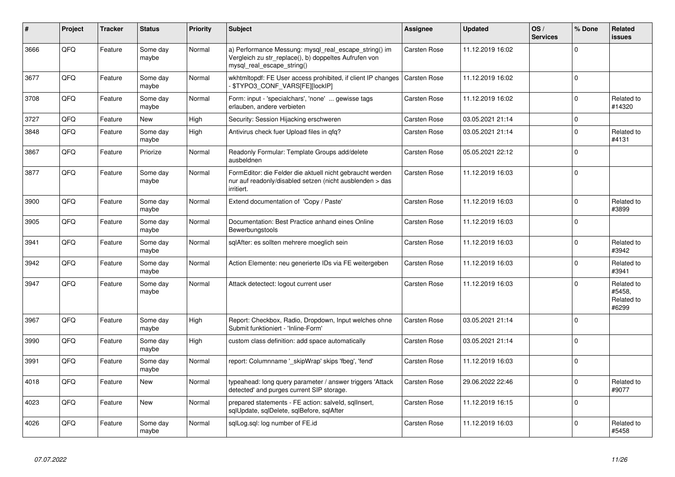| #    | Project | <b>Tracker</b> | <b>Status</b>     | <b>Priority</b> | Subject                                                                                                                                      | Assignee            | <b>Updated</b>   | OS/<br><b>Services</b> | % Done      | <b>Related</b><br><b>issues</b>             |
|------|---------|----------------|-------------------|-----------------|----------------------------------------------------------------------------------------------------------------------------------------------|---------------------|------------------|------------------------|-------------|---------------------------------------------|
| 3666 | QFQ     | Feature        | Some day<br>maybe | Normal          | a) Performance Messung: mysql_real_escape_string() im<br>Vergleich zu str_replace(), b) doppeltes Aufrufen von<br>mysgl real escape string() | Carsten Rose        | 11.12.2019 16:02 |                        | $\Omega$    |                                             |
| 3677 | QFQ     | Feature        | Some day<br>maybe | Normal          | wkhtmitopdf: FE User access prohibited, if client IP changes<br>\$TYPO3 CONF VARS[FE][lockIP]                                                | Carsten Rose        | 11.12.2019 16:02 |                        | $\Omega$    |                                             |
| 3708 | QFQ     | Feature        | Some day<br>maybe | Normal          | Form: input - 'specialchars', 'none'  gewisse tags<br>erlauben, andere verbieten                                                             | Carsten Rose        | 11.12.2019 16:02 |                        | $\mathbf 0$ | Related to<br>#14320                        |
| 3727 | QFQ     | Feature        | New               | High            | Security: Session Hijacking erschweren                                                                                                       | Carsten Rose        | 03.05.2021 21:14 |                        | $\mathbf 0$ |                                             |
| 3848 | QFQ     | Feature        | Some day<br>maybe | High            | Antivirus check fuer Upload files in gfg?                                                                                                    | Carsten Rose        | 03.05.2021 21:14 |                        | $\mathbf 0$ | Related to<br>#4131                         |
| 3867 | QFQ     | Feature        | Priorize          | Normal          | Readonly Formular: Template Groups add/delete<br>ausbeldnen                                                                                  | Carsten Rose        | 05.05.2021 22:12 |                        | $\mathbf 0$ |                                             |
| 3877 | QFQ     | Feature        | Some day<br>maybe | Normal          | FormEditor: die Felder die aktuell nicht gebraucht werden<br>nur auf readonly/disabled setzen (nicht ausblenden > das<br>irritiert.          | Carsten Rose        | 11.12.2019 16:03 |                        | $\Omega$    |                                             |
| 3900 | QFQ     | Feature        | Some day<br>maybe | Normal          | Extend documentation of 'Copy / Paste'                                                                                                       | Carsten Rose        | 11.12.2019 16:03 |                        | $\mathbf 0$ | Related to<br>#3899                         |
| 3905 | QFQ     | Feature        | Some day<br>maybe | Normal          | Documentation: Best Practice anhand eines Online<br>Bewerbungstools                                                                          | Carsten Rose        | 11.12.2019 16:03 |                        | $\Omega$    |                                             |
| 3941 | QFQ     | Feature        | Some day<br>maybe | Normal          | sqlAfter: es sollten mehrere moeglich sein                                                                                                   | Carsten Rose        | 11.12.2019 16:03 |                        | $\mathbf 0$ | Related to<br>#3942                         |
| 3942 | QFQ     | Feature        | Some day<br>maybe | Normal          | Action Elemente: neu generierte IDs via FE weitergeben                                                                                       | Carsten Rose        | 11.12.2019 16:03 |                        | $\Omega$    | Related to<br>#3941                         |
| 3947 | QFQ     | Feature        | Some day<br>maybe | Normal          | Attack detectect: logout current user                                                                                                        | Carsten Rose        | 11.12.2019 16:03 |                        | $\Omega$    | Related to<br>#5458.<br>Related to<br>#6299 |
| 3967 | QFQ     | Feature        | Some day<br>maybe | High            | Report: Checkbox, Radio, Dropdown, Input welches ohne<br>Submit funktioniert - 'Inline-Form'                                                 | Carsten Rose        | 03.05.2021 21:14 |                        | $\mathbf 0$ |                                             |
| 3990 | QFQ     | Feature        | Some day<br>maybe | High            | custom class definition: add space automatically                                                                                             | <b>Carsten Rose</b> | 03.05.2021 21:14 |                        | $\mathbf 0$ |                                             |
| 3991 | QFQ     | Feature        | Some day<br>maybe | Normal          | report: Columnname ' skipWrap' skips 'fbeg', 'fend'                                                                                          | Carsten Rose        | 11.12.2019 16:03 |                        | $\Omega$    |                                             |
| 4018 | QFQ     | Feature        | New               | Normal          | typeahead: long query parameter / answer triggers 'Attack<br>detected' and purges current SIP storage.                                       | Carsten Rose        | 29.06.2022 22:46 |                        | $\Omega$    | Related to<br>#9077                         |
| 4023 | QFQ     | Feature        | <b>New</b>        | Normal          | prepared statements - FE action: salveld, sglInsert,<br>sqlUpdate, sqlDelete, sqlBefore, sqlAfter                                            | Carsten Rose        | 11.12.2019 16:15 |                        | $\Omega$    |                                             |
| 4026 | QFQ     | Feature        | Some day<br>maybe | Normal          | sqlLog.sql: log number of FE.id                                                                                                              | Carsten Rose        | 11.12.2019 16:03 |                        | $\Omega$    | Related to<br>#5458                         |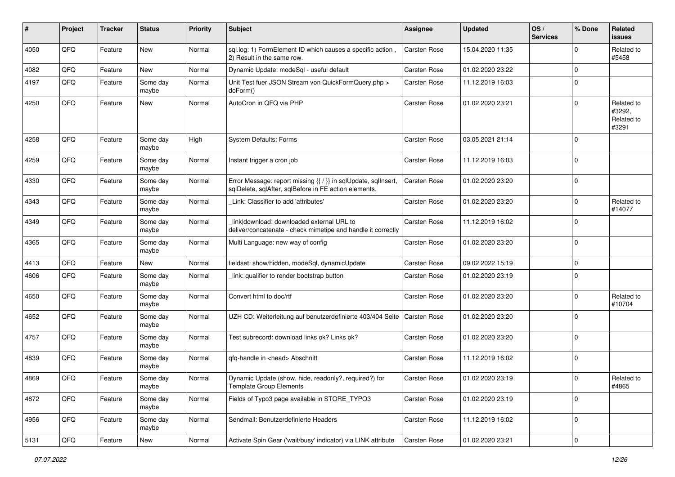| ∦    | Project | <b>Tracker</b> | <b>Status</b>     | <b>Priority</b> | <b>Subject</b>                                                                                                          | <b>Assignee</b>     | <b>Updated</b>   | OS/<br><b>Services</b> | % Done      | Related<br><b>issues</b>                    |
|------|---------|----------------|-------------------|-----------------|-------------------------------------------------------------------------------------------------------------------------|---------------------|------------------|------------------------|-------------|---------------------------------------------|
| 4050 | QFQ     | Feature        | New               | Normal          | sql.log: 1) FormElement ID which causes a specific action,<br>2) Result in the same row.                                | <b>Carsten Rose</b> | 15.04.2020 11:35 |                        | $\mathbf 0$ | Related to<br>#5458                         |
| 4082 | QFQ     | Feature        | New               | Normal          | Dynamic Update: modeSql - useful default                                                                                | Carsten Rose        | 01.02.2020 23:22 |                        | $\mathbf 0$ |                                             |
| 4197 | QFQ     | Feature        | Some day<br>maybe | Normal          | Unit Test fuer JSON Stream von QuickFormQuery.php ><br>doForm()                                                         | Carsten Rose        | 11.12.2019 16:03 |                        | $\mathbf 0$ |                                             |
| 4250 | QFQ     | Feature        | New               | Normal          | AutoCron in QFQ via PHP                                                                                                 | Carsten Rose        | 01.02.2020 23:21 |                        | $\mathbf 0$ | Related to<br>#3292,<br>Related to<br>#3291 |
| 4258 | QFQ     | Feature        | Some day<br>maybe | High            | <b>System Defaults: Forms</b>                                                                                           | Carsten Rose        | 03.05.2021 21:14 |                        | $\mathbf 0$ |                                             |
| 4259 | QFQ     | Feature        | Some day<br>maybe | Normal          | Instant trigger a cron job                                                                                              | Carsten Rose        | 11.12.2019 16:03 |                        | $\mathbf 0$ |                                             |
| 4330 | QFQ     | Feature        | Some day<br>maybe | Normal          | Error Message: report missing {{ / }} in sqlUpdate, sqlInsert,<br>sqlDelete, sqlAfter, sqlBefore in FE action elements. | Carsten Rose        | 01.02.2020 23:20 |                        | $\mathbf 0$ |                                             |
| 4343 | QFQ     | Feature        | Some day<br>maybe | Normal          | Link: Classifier to add 'attributes'                                                                                    | Carsten Rose        | 01.02.2020 23:20 |                        | $\mathbf 0$ | Related to<br>#14077                        |
| 4349 | QFQ     | Feature        | Some day<br>maybe | Normal          | link download: downloaded external URL to<br>deliver/concatenate - check mimetipe and handle it correctly               | Carsten Rose        | 11.12.2019 16:02 |                        | $\mathbf 0$ |                                             |
| 4365 | QFQ     | Feature        | Some day<br>maybe | Normal          | Multi Language: new way of config                                                                                       | Carsten Rose        | 01.02.2020 23:20 |                        | $\mathbf 0$ |                                             |
| 4413 | QFQ     | Feature        | New               | Normal          | fieldset: show/hidden, modeSql, dynamicUpdate                                                                           | Carsten Rose        | 09.02.2022 15:19 |                        | $\mathbf 0$ |                                             |
| 4606 | QFQ     | Feature        | Some day<br>maybe | Normal          | link: qualifier to render bootstrap button                                                                              | Carsten Rose        | 01.02.2020 23:19 |                        | $\Omega$    |                                             |
| 4650 | QFQ     | Feature        | Some day<br>maybe | Normal          | Convert html to doc/rtf                                                                                                 | Carsten Rose        | 01.02.2020 23:20 |                        | $\mathbf 0$ | Related to<br>#10704                        |
| 4652 | QFQ     | Feature        | Some day<br>maybe | Normal          | UZH CD: Weiterleitung auf benutzerdefinierte 403/404 Seite                                                              | <b>Carsten Rose</b> | 01.02.2020 23:20 |                        | $\mathbf 0$ |                                             |
| 4757 | QFQ     | Feature        | Some day<br>maybe | Normal          | Test subrecord: download links ok? Links ok?                                                                            | Carsten Rose        | 01.02.2020 23:20 |                        | $\mathbf 0$ |                                             |
| 4839 | QFQ     | Feature        | Some day<br>maybe | Normal          | qfq-handle in <head> Abschnitt</head>                                                                                   | Carsten Rose        | 11.12.2019 16:02 |                        | $\mathbf 0$ |                                             |
| 4869 | QFQ     | Feature        | Some day<br>maybe | Normal          | Dynamic Update (show, hide, readonly?, required?) for<br><b>Template Group Elements</b>                                 | <b>Carsten Rose</b> | 01.02.2020 23:19 |                        | $\mathbf 0$ | Related to<br>#4865                         |
| 4872 | QFQ     | Feature        | Some day<br>maybe | Normal          | Fields of Typo3 page available in STORE_TYPO3                                                                           | Carsten Rose        | 01.02.2020 23:19 |                        | $\mathbf 0$ |                                             |
| 4956 | QFQ     | Feature        | Some day<br>maybe | Normal          | Sendmail: Benutzerdefinierte Headers                                                                                    | Carsten Rose        | 11.12.2019 16:02 |                        | $\mathbf 0$ |                                             |
| 5131 | QFQ     | Feature        | New               | Normal          | Activate Spin Gear ('wait/busy' indicator) via LINK attribute                                                           | Carsten Rose        | 01.02.2020 23:21 |                        | $\pmb{0}$   |                                             |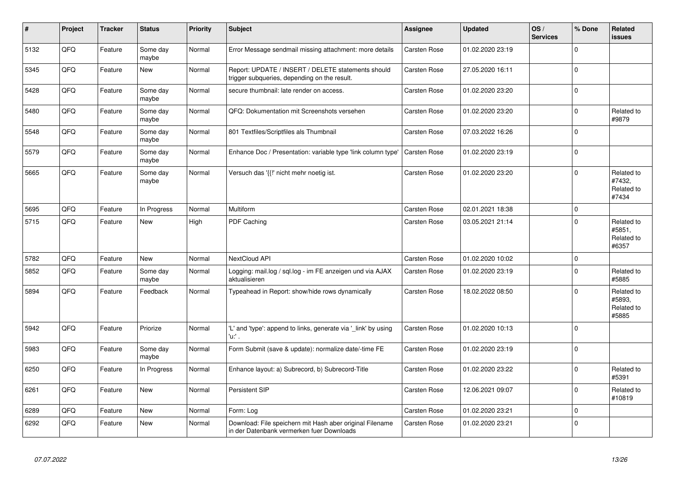| $\vert$ # | Project | <b>Tracker</b> | <b>Status</b>     | <b>Priority</b> | <b>Subject</b>                                                                                        | <b>Assignee</b> | <b>Updated</b>   | OS/<br><b>Services</b> | % Done      | Related<br><b>issues</b>                    |
|-----------|---------|----------------|-------------------|-----------------|-------------------------------------------------------------------------------------------------------|-----------------|------------------|------------------------|-------------|---------------------------------------------|
| 5132      | QFQ     | Feature        | Some day<br>maybe | Normal          | Error Message sendmail missing attachment: more details                                               | Carsten Rose    | 01.02.2020 23:19 |                        | $\mathbf 0$ |                                             |
| 5345      | QFQ     | Feature        | New               | Normal          | Report: UPDATE / INSERT / DELETE statements should<br>trigger subqueries, depending on the result.    | Carsten Rose    | 27.05.2020 16:11 |                        | $\mathbf 0$ |                                             |
| 5428      | QFQ     | Feature        | Some day<br>maybe | Normal          | secure thumbnail: late render on access.                                                              | Carsten Rose    | 01.02.2020 23:20 |                        | $\mathbf 0$ |                                             |
| 5480      | QFQ     | Feature        | Some day<br>maybe | Normal          | QFQ: Dokumentation mit Screenshots versehen                                                           | Carsten Rose    | 01.02.2020 23:20 |                        | $\Omega$    | Related to<br>#9879                         |
| 5548      | QFQ     | Feature        | Some day<br>maybe | Normal          | 801 Textfiles/Scriptfiles als Thumbnail                                                               | Carsten Rose    | 07.03.2022 16:26 |                        | $\mathbf 0$ |                                             |
| 5579      | QFQ     | Feature        | Some day<br>maybe | Normal          | Enhance Doc / Presentation: variable type 'link column type'                                          | Carsten Rose    | 01.02.2020 23:19 |                        | $\mathbf 0$ |                                             |
| 5665      | QFQ     | Feature        | Some day<br>maybe | Normal          | Versuch das '{{!' nicht mehr noetig ist.                                                              | Carsten Rose    | 01.02.2020 23:20 |                        | $\mathbf 0$ | Related to<br>#7432,<br>Related to<br>#7434 |
| 5695      | QFQ     | Feature        | In Progress       | Normal          | Multiform                                                                                             | Carsten Rose    | 02.01.2021 18:38 |                        | $\mathbf 0$ |                                             |
| 5715      | QFQ     | Feature        | New               | High            | PDF Caching                                                                                           | Carsten Rose    | 03.05.2021 21:14 |                        | $\mathbf 0$ | Related to<br>#5851.<br>Related to<br>#6357 |
| 5782      | QFQ     | Feature        | <b>New</b>        | Normal          | <b>NextCloud API</b>                                                                                  | Carsten Rose    | 01.02.2020 10:02 |                        | $\mathbf 0$ |                                             |
| 5852      | QFQ     | Feature        | Some day<br>maybe | Normal          | Logging: mail.log / sql.log - im FE anzeigen und via AJAX<br>aktualisieren                            | Carsten Rose    | 01.02.2020 23:19 |                        | $\mathbf 0$ | Related to<br>#5885                         |
| 5894      | QFQ     | Feature        | Feedback          | Normal          | Typeahead in Report: show/hide rows dynamically                                                       | Carsten Rose    | 18.02.2022 08:50 |                        | $\mathbf 0$ | Related to<br>#5893,<br>Related to<br>#5885 |
| 5942      | QFQ     | Feature        | Priorize          | Normal          | 'L' and 'type': append to links, generate via '_link' by using<br>'u:' .                              | Carsten Rose    | 01.02.2020 10:13 |                        | $\Omega$    |                                             |
| 5983      | QFQ     | Feature        | Some day<br>maybe | Normal          | Form Submit (save & update): normalize date/-time FE                                                  | Carsten Rose    | 01.02.2020 23:19 |                        | $\mathbf 0$ |                                             |
| 6250      | QFQ     | Feature        | In Progress       | Normal          | Enhance layout: a) Subrecord, b) Subrecord-Title                                                      | Carsten Rose    | 01.02.2020 23:22 |                        | $\mathbf 0$ | Related to<br>#5391                         |
| 6261      | QFQ     | Feature        | New               | Normal          | Persistent SIP                                                                                        | Carsten Rose    | 12.06.2021 09:07 |                        | $\Omega$    | Related to<br>#10819                        |
| 6289      | QFQ     | Feature        | <b>New</b>        | Normal          | Form: Log                                                                                             | Carsten Rose    | 01.02.2020 23:21 |                        | $\mathbf 0$ |                                             |
| 6292      | QFQ     | Feature        | New               | Normal          | Download: File speichern mit Hash aber original Filename<br>in der Datenbank vermerken fuer Downloads | Carsten Rose    | 01.02.2020 23:21 |                        | $\mathbf 0$ |                                             |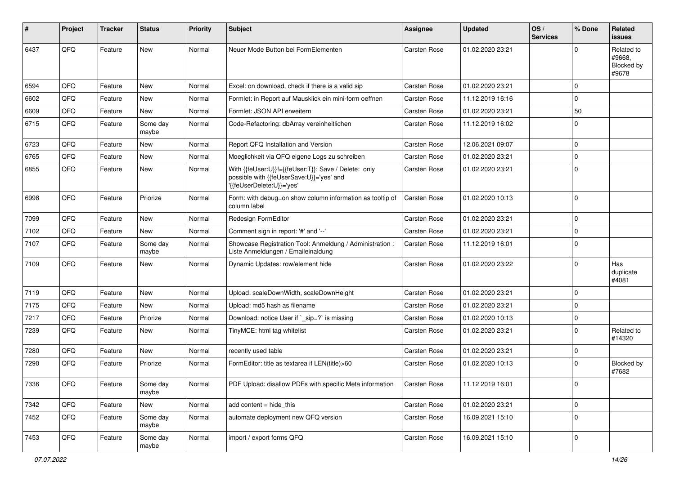| #    | Project    | <b>Tracker</b> | <b>Status</b>     | <b>Priority</b> | Subject                                                                                                                      | <b>Assignee</b> | <b>Updated</b>   | OS/<br><b>Services</b> | % Done      | <b>Related</b><br><b>issues</b>             |
|------|------------|----------------|-------------------|-----------------|------------------------------------------------------------------------------------------------------------------------------|-----------------|------------------|------------------------|-------------|---------------------------------------------|
| 6437 | QFQ        | Feature        | New               | Normal          | Neuer Mode Button bei FormElementen                                                                                          | Carsten Rose    | 01.02.2020 23:21 |                        | $\Omega$    | Related to<br>#9668.<br>Blocked by<br>#9678 |
| 6594 | QFQ        | Feature        | <b>New</b>        | Normal          | Excel: on download, check if there is a valid sip                                                                            | Carsten Rose    | 01.02.2020 23:21 |                        | $\Omega$    |                                             |
| 6602 | QFQ        | Feature        | New               | Normal          | Formlet: in Report auf Mausklick ein mini-form oeffnen                                                                       | Carsten Rose    | 11.12.2019 16:16 |                        | $\mathbf 0$ |                                             |
| 6609 | QFQ        | Feature        | New               | Normal          | Formlet: JSON API erweitern                                                                                                  | Carsten Rose    | 01.02.2020 23:21 |                        | 50          |                                             |
| 6715 | QFQ        | Feature        | Some day<br>maybe | Normal          | Code-Refactoring: dbArray vereinheitlichen                                                                                   | Carsten Rose    | 11.12.2019 16:02 |                        | $\Omega$    |                                             |
| 6723 | QFQ        | Feature        | New               | Normal          | Report QFQ Installation and Version                                                                                          | Carsten Rose    | 12.06.2021 09:07 |                        | $\mathbf 0$ |                                             |
| 6765 | QFQ        | Feature        | New               | Normal          | Moeglichkeit via QFQ eigene Logs zu schreiben                                                                                | Carsten Rose    | 01.02.2020 23:21 |                        | $\Omega$    |                                             |
| 6855 | QFQ        | Feature        | New               | Normal          | With {{feUser:U}}!={{feUser:T}}: Save / Delete: only<br>possible with {{feUserSave:U}}='yes' and<br>'{feUserDelete:U}}='yes' | Carsten Rose    | 01.02.2020 23:21 |                        | $\mathbf 0$ |                                             |
| 6998 | QFQ        | Feature        | Priorize          | Normal          | Form: with debug=on show column information as tooltip of<br>column label                                                    | Carsten Rose    | 01.02.2020 10:13 |                        | $\Omega$    |                                             |
| 7099 | QFQ        | Feature        | New               | Normal          | Redesign FormEditor                                                                                                          | Carsten Rose    | 01.02.2020 23:21 |                        | $\Omega$    |                                             |
| 7102 | QFQ        | Feature        | New               | Normal          | Comment sign in report: '#' and '--'                                                                                         | Carsten Rose    | 01.02.2020 23:21 |                        | $\mathbf 0$ |                                             |
| 7107 | QFQ        | Feature        | Some day<br>maybe | Normal          | Showcase Registration Tool: Anmeldung / Administration :<br>Liste Anmeldungen / Emaileinaldung                               | Carsten Rose    | 11.12.2019 16:01 |                        | $\Omega$    |                                             |
| 7109 | QFQ        | Feature        | New               | Normal          | Dynamic Updates: row/element hide                                                                                            | Carsten Rose    | 01.02.2020 23:22 |                        | $\Omega$    | Has<br>duplicate<br>#4081                   |
| 7119 | QFQ        | Feature        | New               | Normal          | Upload: scaleDownWidth, scaleDownHeight                                                                                      | Carsten Rose    | 01.02.2020 23:21 |                        | $\mathbf 0$ |                                             |
| 7175 | QFQ        | Feature        | New               | Normal          | Upload: md5 hash as filename                                                                                                 | Carsten Rose    | 01.02.2020 23:21 |                        | $\mathbf 0$ |                                             |
| 7217 | QFQ        | Feature        | Priorize          | Normal          | Download: notice User if `_sip=?` is missing                                                                                 | Carsten Rose    | 01.02.2020 10:13 |                        | $\Omega$    |                                             |
| 7239 | QFQ        | Feature        | New               | Normal          | TinyMCE: html tag whitelist                                                                                                  | Carsten Rose    | 01.02.2020 23:21 |                        | $\Omega$    | Related to<br>#14320                        |
| 7280 | QFQ        | Feature        | New               | Normal          | recently used table                                                                                                          | Carsten Rose    | 01.02.2020 23:21 |                        | $\mathbf 0$ |                                             |
| 7290 | QFQ        | Feature        | Priorize          | Normal          | FormEditor: title as textarea if LEN(title)>60                                                                               | Carsten Rose    | 01.02.2020 10:13 |                        | $\Omega$    | Blocked by<br>#7682                         |
| 7336 | <b>QFQ</b> | Feature        | Some day<br>maybe | Normal          | PDF Upload: disallow PDFs with specific Meta information                                                                     | Carsten Rose    | 11.12.2019 16:01 |                        | 0           |                                             |
| 7342 | QFQ        | Feature        | New               | Normal          | add content $=$ hide this                                                                                                    | Carsten Rose    | 01.02.2020 23:21 |                        | $\mathbf 0$ |                                             |
| 7452 | QFQ        | Feature        | Some day<br>maybe | Normal          | automate deployment new QFQ version                                                                                          | Carsten Rose    | 16.09.2021 15:10 |                        | $\mathbf 0$ |                                             |
| 7453 | QFQ        | Feature        | Some day<br>maybe | Normal          | import / export forms QFQ                                                                                                    | Carsten Rose    | 16.09.2021 15:10 |                        | $\mathbf 0$ |                                             |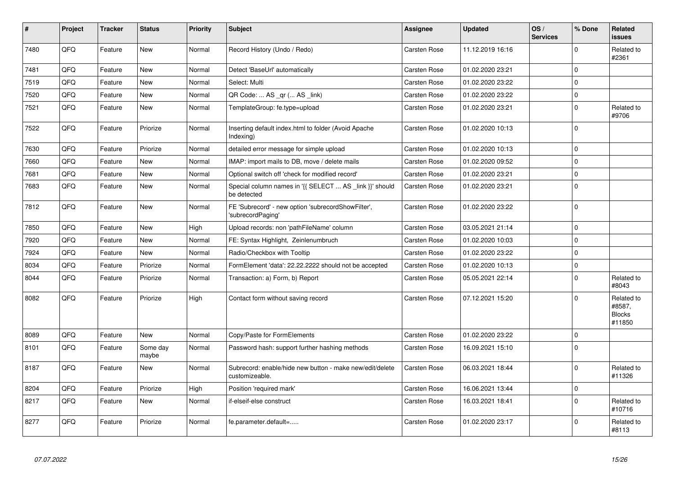| $\vert$ # | Project | <b>Tracker</b> | <b>Status</b>     | <b>Priority</b> | <b>Subject</b>                                                             | <b>Assignee</b>     | <b>Updated</b>   | OS/<br><b>Services</b> | % Done      | Related<br><b>issues</b>                        |
|-----------|---------|----------------|-------------------|-----------------|----------------------------------------------------------------------------|---------------------|------------------|------------------------|-------------|-------------------------------------------------|
| 7480      | QFQ     | Feature        | New               | Normal          | Record History (Undo / Redo)                                               | <b>Carsten Rose</b> | 11.12.2019 16:16 |                        | $\mathbf 0$ | Related to<br>#2361                             |
| 7481      | QFQ     | Feature        | New               | Normal          | Detect 'BaseUrl' automatically                                             | <b>Carsten Rose</b> | 01.02.2020 23:21 |                        | $\mathbf 0$ |                                                 |
| 7519      | QFQ     | Feature        | <b>New</b>        | Normal          | Select: Multi                                                              | Carsten Rose        | 01.02.2020 23:22 |                        | $\mathbf 0$ |                                                 |
| 7520      | QFQ     | Feature        | New               | Normal          | QR Code:  AS _qr ( AS _link)                                               | Carsten Rose        | 01.02.2020 23:22 |                        | $\pmb{0}$   |                                                 |
| 7521      | QFQ     | Feature        | New               | Normal          | TemplateGroup: fe.type=upload                                              | Carsten Rose        | 01.02.2020 23:21 |                        | $\mathbf 0$ | Related to<br>#9706                             |
| 7522      | QFQ     | Feature        | Priorize          | Normal          | Inserting default index.html to folder (Avoid Apache<br>Indexing)          | Carsten Rose        | 01.02.2020 10:13 |                        | $\Omega$    |                                                 |
| 7630      | QFQ     | Feature        | Priorize          | Normal          | detailed error message for simple upload                                   | Carsten Rose        | 01.02.2020 10:13 |                        | $\mathbf 0$ |                                                 |
| 7660      | QFQ     | Feature        | <b>New</b>        | Normal          | IMAP: import mails to DB, move / delete mails                              | <b>Carsten Rose</b> | 01.02.2020 09:52 |                        | $\pmb{0}$   |                                                 |
| 7681      | QFQ     | Feature        | New               | Normal          | Optional switch off 'check for modified record'                            | Carsten Rose        | 01.02.2020 23:21 |                        | $\pmb{0}$   |                                                 |
| 7683      | QFQ     | Feature        | New               | Normal          | Special column names in '{{ SELECT  AS _link }}' should<br>be detected     | Carsten Rose        | 01.02.2020 23:21 |                        | $\pmb{0}$   |                                                 |
| 7812      | QFQ     | Feature        | New               | Normal          | FE 'Subrecord' - new option 'subrecordShowFilter',<br>subrecordPaging      | Carsten Rose        | 01.02.2020 23:22 |                        | $\pmb{0}$   |                                                 |
| 7850      | QFQ     | Feature        | New               | High            | Upload records: non 'pathFileName' column                                  | <b>Carsten Rose</b> | 03.05.2021 21:14 |                        | $\Omega$    |                                                 |
| 7920      | QFQ     | Feature        | New               | Normal          | FE: Syntax Highlight, Zeinlenumbruch                                       | Carsten Rose        | 01.02.2020 10:03 |                        | $\mathbf 0$ |                                                 |
| 7924      | QFQ     | Feature        | <b>New</b>        | Normal          | Radio/Checkbox with Tooltip                                                | <b>Carsten Rose</b> | 01.02.2020 23:22 |                        | $\Omega$    |                                                 |
| 8034      | QFQ     | Feature        | Priorize          | Normal          | FormElement 'data': 22.22.2222 should not be accepted                      | Carsten Rose        | 01.02.2020 10:13 |                        | $\pmb{0}$   |                                                 |
| 8044      | QFQ     | Feature        | Priorize          | Normal          | Transaction: a) Form, b) Report                                            | Carsten Rose        | 05.05.2021 22:14 |                        | $\mathbf 0$ | Related to<br>#8043                             |
| 8082      | QFQ     | Feature        | Priorize          | High            | Contact form without saving record                                         | Carsten Rose        | 07.12.2021 15:20 |                        | $\Omega$    | Related to<br>#8587,<br><b>Blocks</b><br>#11850 |
| 8089      | QFQ     | Feature        | <b>New</b>        | Normal          | Copy/Paste for FormElements                                                | Carsten Rose        | 01.02.2020 23:22 |                        | $\mathbf 0$ |                                                 |
| 8101      | QFQ     | Feature        | Some day<br>maybe | Normal          | Password hash: support further hashing methods                             | Carsten Rose        | 16.09.2021 15:10 |                        | $\mathbf 0$ |                                                 |
| 8187      | QFQ     | Feature        | New               | Normal          | Subrecord: enable/hide new button - make new/edit/delete<br>customizeable. | Carsten Rose        | 06.03.2021 18:44 |                        | $\pmb{0}$   | Related to<br>#11326                            |
| 8204      | QFQ     | Feature        | Priorize          | High            | Position 'required mark'                                                   | Carsten Rose        | 16.06.2021 13:44 |                        | $\pmb{0}$   |                                                 |
| 8217      | QFQ     | Feature        | <b>New</b>        | Normal          | if-elseif-else construct                                                   | Carsten Rose        | 16.03.2021 18:41 |                        | $\mathbf 0$ | Related to<br>#10716                            |
| 8277      | QFQ     | Feature        | Priorize          | Normal          | fe.parameter.default=                                                      | Carsten Rose        | 01.02.2020 23:17 |                        | $\mathbf 0$ | Related to<br>#8113                             |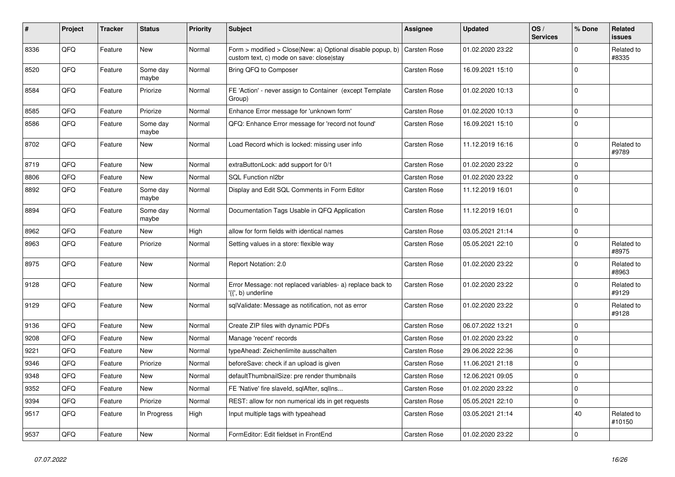| $\vert$ # | Project | <b>Tracker</b> | <b>Status</b>     | <b>Priority</b> | <b>Subject</b>                                                                                         | <b>Assignee</b>     | <b>Updated</b>   | OS/<br><b>Services</b> | % Done      | Related<br><b>issues</b> |
|-----------|---------|----------------|-------------------|-----------------|--------------------------------------------------------------------------------------------------------|---------------------|------------------|------------------------|-------------|--------------------------|
| 8336      | QFQ     | Feature        | <b>New</b>        | Normal          | Form > modified > Close New: a) Optional disable popup, b)<br>custom text, c) mode on save: close stay | Carsten Rose        | 01.02.2020 23:22 |                        | $\Omega$    | Related to<br>#8335      |
| 8520      | QFQ     | Feature        | Some day<br>maybe | Normal          | Bring QFQ to Composer                                                                                  | Carsten Rose        | 16.09.2021 15:10 |                        | $\mathbf 0$ |                          |
| 8584      | QFQ     | Feature        | Priorize          | Normal          | FE 'Action' - never assign to Container (except Template<br>Group)                                     | Carsten Rose        | 01.02.2020 10:13 |                        | $\Omega$    |                          |
| 8585      | QFQ     | Feature        | Priorize          | Normal          | Enhance Error message for 'unknown form'                                                               | <b>Carsten Rose</b> | 01.02.2020 10:13 |                        | $\mathbf 0$ |                          |
| 8586      | QFQ     | Feature        | Some day<br>maybe | Normal          | QFQ: Enhance Error message for 'record not found'                                                      | Carsten Rose        | 16.09.2021 15:10 |                        | $\mathbf 0$ |                          |
| 8702      | QFQ     | Feature        | <b>New</b>        | Normal          | Load Record which is locked: missing user info                                                         | Carsten Rose        | 11.12.2019 16:16 |                        | $\mathbf 0$ | Related to<br>#9789      |
| 8719      | QFQ     | Feature        | New               | Normal          | extraButtonLock: add support for 0/1                                                                   | <b>Carsten Rose</b> | 01.02.2020 23:22 |                        | $\mathbf 0$ |                          |
| 8806      | QFQ     | Feature        | New               | Normal          | SQL Function nl2br                                                                                     | Carsten Rose        | 01.02.2020 23:22 |                        | $\pmb{0}$   |                          |
| 8892      | QFQ     | Feature        | Some day<br>maybe | Normal          | Display and Edit SQL Comments in Form Editor                                                           | Carsten Rose        | 11.12.2019 16:01 |                        | $\pmb{0}$   |                          |
| 8894      | QFQ     | Feature        | Some day<br>maybe | Normal          | Documentation Tags Usable in QFQ Application                                                           | Carsten Rose        | 11.12.2019 16:01 |                        | $\mathbf 0$ |                          |
| 8962      | QFQ     | Feature        | New               | High            | allow for form fields with identical names                                                             | Carsten Rose        | 03.05.2021 21:14 |                        | $\pmb{0}$   |                          |
| 8963      | QFQ     | Feature        | Priorize          | Normal          | Setting values in a store: flexible way                                                                | Carsten Rose        | 05.05.2021 22:10 |                        | $\Omega$    | Related to<br>#8975      |
| 8975      | QFQ     | Feature        | <b>New</b>        | Normal          | Report Notation: 2.0                                                                                   | Carsten Rose        | 01.02.2020 23:22 |                        | $\mathbf 0$ | Related to<br>#8963      |
| 9128      | QFQ     | Feature        | New               | Normal          | Error Message: not replaced variables- a) replace back to<br>{{', b) underline                         | Carsten Rose        | 01.02.2020 23:22 |                        | $\pmb{0}$   | Related to<br>#9129      |
| 9129      | QFQ     | Feature        | New               | Normal          | sqlValidate: Message as notification, not as error                                                     | <b>Carsten Rose</b> | 01.02.2020 23:22 |                        | $\mathbf 0$ | Related to<br>#9128      |
| 9136      | QFQ     | Feature        | New               | Normal          | Create ZIP files with dynamic PDFs                                                                     | Carsten Rose        | 06.07.2022 13:21 |                        | $\mathbf 0$ |                          |
| 9208      | QFQ     | Feature        | <b>New</b>        | Normal          | Manage 'recent' records                                                                                | Carsten Rose        | 01.02.2020 23:22 |                        | $\Omega$    |                          |
| 9221      | QFQ     | Feature        | <b>New</b>        | Normal          | typeAhead: Zeichenlimite ausschalten                                                                   | Carsten Rose        | 29.06.2022 22:36 |                        | $\mathbf 0$ |                          |
| 9346      | QFQ     | Feature        | Priorize          | Normal          | beforeSave: check if an upload is given                                                                | <b>Carsten Rose</b> | 11.06.2021 21:18 |                        | $\mathbf 0$ |                          |
| 9348      | QFQ     | Feature        | <b>New</b>        | Normal          | defaultThumbnailSize: pre render thumbnails                                                            | Carsten Rose        | 12.06.2021 09:05 |                        | $\mathbf 0$ |                          |
| 9352      | QFQ     | Feature        | New               | Normal          | FE 'Native' fire slaveld, sqlAfter, sqlIns                                                             | Carsten Rose        | 01.02.2020 23:22 |                        | $\mathbf 0$ |                          |
| 9394      | QFQ     | Feature        | Priorize          | Normal          | REST: allow for non numerical ids in get requests                                                      | Carsten Rose        | 05.05.2021 22:10 |                        | $\pmb{0}$   |                          |
| 9517      | QFQ     | Feature        | In Progress       | High            | Input multiple tags with typeahead                                                                     | Carsten Rose        | 03.05.2021 21:14 |                        | 40          | Related to<br>#10150     |
| 9537      | QFQ     | Feature        | New               | Normal          | FormEditor: Edit fieldset in FrontEnd                                                                  | Carsten Rose        | 01.02.2020 23:22 |                        | $\mathbf 0$ |                          |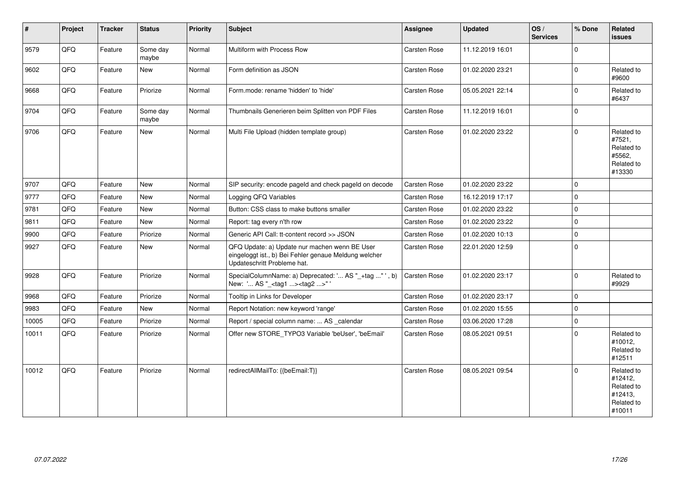| $\vert$ # | Project | <b>Tracker</b> | <b>Status</b>     | Priority | <b>Subject</b>                                                                                                                        | Assignee            | <b>Updated</b>   | OS/<br><b>Services</b> | % Done      | Related<br><b>issues</b>                                               |
|-----------|---------|----------------|-------------------|----------|---------------------------------------------------------------------------------------------------------------------------------------|---------------------|------------------|------------------------|-------------|------------------------------------------------------------------------|
| 9579      | QFQ     | Feature        | Some day<br>maybe | Normal   | Multiform with Process Row                                                                                                            | Carsten Rose        | 11.12.2019 16:01 |                        | $\Omega$    |                                                                        |
| 9602      | QFQ     | Feature        | <b>New</b>        | Normal   | Form definition as JSON                                                                                                               | Carsten Rose        | 01.02.2020 23:21 |                        | $\Omega$    | Related to<br>#9600                                                    |
| 9668      | QFQ     | Feature        | Priorize          | Normal   | Form.mode: rename 'hidden' to 'hide'                                                                                                  | Carsten Rose        | 05.05.2021 22:14 |                        | $\Omega$    | Related to<br>#6437                                                    |
| 9704      | QFQ     | Feature        | Some day<br>maybe | Normal   | Thumbnails Generieren beim Splitten von PDF Files                                                                                     | Carsten Rose        | 11.12.2019 16:01 |                        | $\Omega$    |                                                                        |
| 9706      | QFQ     | Feature        | New               | Normal   | Multi File Upload (hidden template group)                                                                                             | Carsten Rose        | 01.02.2020 23:22 |                        | $\Omega$    | Related to<br>#7521,<br>Related to<br>#5562,<br>Related to<br>#13330   |
| 9707      | QFQ     | Feature        | <b>New</b>        | Normal   | SIP security: encode pageld and check pageld on decode                                                                                | <b>Carsten Rose</b> | 01.02.2020 23:22 |                        | $\Omega$    |                                                                        |
| 9777      | QFQ     | Feature        | New               | Normal   | Logging QFQ Variables                                                                                                                 | Carsten Rose        | 16.12.2019 17:17 |                        | $\Omega$    |                                                                        |
| 9781      | QFQ     | Feature        | <b>New</b>        | Normal   | Button: CSS class to make buttons smaller                                                                                             | Carsten Rose        | 01.02.2020 23:22 |                        | $\Omega$    |                                                                        |
| 9811      | QFQ     | Feature        | New               | Normal   | Report: tag every n'th row                                                                                                            | <b>Carsten Rose</b> | 01.02.2020 23:22 |                        | $\Omega$    |                                                                        |
| 9900      | QFQ     | Feature        | Priorize          | Normal   | Generic API Call: tt-content record >> JSON                                                                                           | Carsten Rose        | 01.02.2020 10:13 |                        | $\mathbf 0$ |                                                                        |
| 9927      | QFQ     | Feature        | New               | Normal   | QFQ Update: a) Update nur machen wenn BE User<br>eingeloggt ist., b) Bei Fehler genaue Meldung welcher<br>Updateschritt Probleme hat. | Carsten Rose        | 22.01.2020 12:59 |                        | $\Omega$    |                                                                        |
| 9928      | QFQ     | Feature        | Priorize          | Normal   | SpecialColumnName: a) Deprecated: ' AS "_+tag "', b)<br>New: ' AS "_ <tag1><tag2>" '</tag2></tag1>                                    | Carsten Rose        | 01.02.2020 23:17 |                        | $\Omega$    | Related to<br>#9929                                                    |
| 9968      | QFQ     | Feature        | Priorize          | Normal   | Tooltip in Links for Developer                                                                                                        | Carsten Rose        | 01.02.2020 23:17 |                        | $\mathbf 0$ |                                                                        |
| 9983      | QFQ     | Feature        | New               | Normal   | Report Notation: new keyword 'range'                                                                                                  | Carsten Rose        | 01.02.2020 15:55 |                        | $\Omega$    |                                                                        |
| 10005     | QFQ     | Feature        | Priorize          | Normal   | Report / special column name:  AS _calendar                                                                                           | <b>Carsten Rose</b> | 03.06.2020 17:28 |                        | $\Omega$    |                                                                        |
| 10011     | QFQ     | Feature        | Priorize          | Normal   | Offer new STORE_TYPO3 Variable 'beUser', 'beEmail'                                                                                    | <b>Carsten Rose</b> | 08.05.2021 09:51 |                        | $\Omega$    | Related to<br>#10012,<br>Related to<br>#12511                          |
| 10012     | QFQ     | Feature        | Priorize          | Normal   | redirectAllMailTo: {{beEmail:T}}                                                                                                      | <b>Carsten Rose</b> | 08.05.2021 09:54 |                        | $\Omega$    | Related to<br>#12412,<br>Related to<br>#12413,<br>Related to<br>#10011 |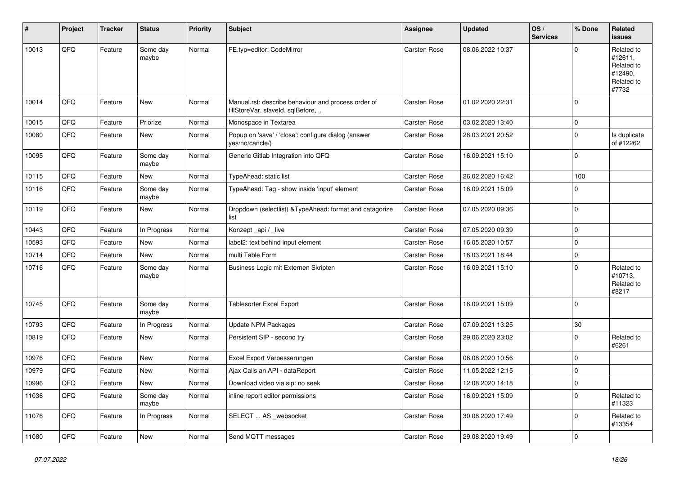| ∦     | Project | <b>Tracker</b> | <b>Status</b>     | <b>Priority</b> | <b>Subject</b>                                                                           | <b>Assignee</b>     | <b>Updated</b>   | OS/<br><b>Services</b> | % Done      | Related<br><b>issues</b>                                              |
|-------|---------|----------------|-------------------|-----------------|------------------------------------------------------------------------------------------|---------------------|------------------|------------------------|-------------|-----------------------------------------------------------------------|
| 10013 | QFQ     | Feature        | Some day<br>maybe | Normal          | FE.typ=editor: CodeMirror                                                                | <b>Carsten Rose</b> | 08.06.2022 10:37 |                        | $\Omega$    | Related to<br>#12611,<br>Related to<br>#12490,<br>Related to<br>#7732 |
| 10014 | QFQ     | Feature        | New               | Normal          | Manual.rst: describe behaviour and process order of<br>fillStoreVar, slaveId, sqlBefore, | Carsten Rose        | 01.02.2020 22:31 |                        | $\mathbf 0$ |                                                                       |
| 10015 | QFQ     | Feature        | Priorize          | Normal          | Monospace in Textarea                                                                    | Carsten Rose        | 03.02.2020 13:40 |                        | $\mathbf 0$ |                                                                       |
| 10080 | QFQ     | Feature        | New               | Normal          | Popup on 'save' / 'close': configure dialog (answer<br>yes/no/cancle/)                   | Carsten Rose        | 28.03.2021 20:52 |                        | $\mathbf 0$ | Is duplicate<br>of #12262                                             |
| 10095 | QFQ     | Feature        | Some day<br>maybe | Normal          | Generic Gitlab Integration into QFQ                                                      | <b>Carsten Rose</b> | 16.09.2021 15:10 |                        | $\mathbf 0$ |                                                                       |
| 10115 | QFQ     | Feature        | New               | Normal          | TypeAhead: static list                                                                   | Carsten Rose        | 26.02.2020 16:42 |                        | 100         |                                                                       |
| 10116 | QFQ     | Feature        | Some day<br>maybe | Normal          | TypeAhead: Tag - show inside 'input' element                                             | Carsten Rose        | 16.09.2021 15:09 |                        | $\Omega$    |                                                                       |
| 10119 | QFQ     | Feature        | New               | Normal          | Dropdown (selectlist) & TypeAhead: format and catagorize<br>list                         | Carsten Rose        | 07.05.2020 09:36 |                        | $\mathbf 0$ |                                                                       |
| 10443 | QFQ     | Feature        | In Progress       | Normal          | Konzept_api / _live                                                                      | <b>Carsten Rose</b> | 07.05.2020 09:39 |                        | $\mathbf 0$ |                                                                       |
| 10593 | QFQ     | Feature        | New               | Normal          | label2: text behind input element                                                        | Carsten Rose        | 16.05.2020 10:57 |                        | $\mathbf 0$ |                                                                       |
| 10714 | QFQ     | Feature        | New               | Normal          | multi Table Form                                                                         | Carsten Rose        | 16.03.2021 18:44 |                        | $\mathbf 0$ |                                                                       |
| 10716 | QFQ     | Feature        | Some day<br>maybe | Normal          | Business Logic mit Externen Skripten                                                     | Carsten Rose        | 16.09.2021 15:10 |                        | $\mathbf 0$ | Related to<br>#10713,<br>Related to<br>#8217                          |
| 10745 | QFQ     | Feature        | Some day<br>maybe | Normal          | <b>Tablesorter Excel Export</b>                                                          | Carsten Rose        | 16.09.2021 15:09 |                        | $\mathbf 0$ |                                                                       |
| 10793 | QFQ     | Feature        | In Progress       | Normal          | <b>Update NPM Packages</b>                                                               | Carsten Rose        | 07.09.2021 13:25 |                        | 30          |                                                                       |
| 10819 | QFQ     | Feature        | New               | Normal          | Persistent SIP - second try                                                              | Carsten Rose        | 29.06.2020 23:02 |                        | $\mathbf 0$ | Related to<br>#6261                                                   |
| 10976 | QFQ     | Feature        | New               | Normal          | Excel Export Verbesserungen                                                              | Carsten Rose        | 06.08.2020 10:56 |                        | $\mathbf 0$ |                                                                       |
| 10979 | QFQ     | Feature        | New               | Normal          | Ajax Calls an API - dataReport                                                           | Carsten Rose        | 11.05.2022 12:15 |                        | $\mathbf 0$ |                                                                       |
| 10996 | QFQ     | Feature        | New               | Normal          | Download video via sip: no seek                                                          | Carsten Rose        | 12.08.2020 14:18 |                        | 0           |                                                                       |
| 11036 | QFQ     | Feature        | Some day<br>maybe | Normal          | inline report editor permissions                                                         | Carsten Rose        | 16.09.2021 15:09 |                        | $\mathbf 0$ | Related to<br>#11323                                                  |
| 11076 | QFQ     | Feature        | In Progress       | Normal          | SELECT  AS _websocket                                                                    | Carsten Rose        | 30.08.2020 17:49 |                        | $\pmb{0}$   | Related to<br>#13354                                                  |
| 11080 | QFQ     | Feature        | New               | Normal          | Send MQTT messages                                                                       | Carsten Rose        | 29.08.2020 19:49 |                        | $\pmb{0}$   |                                                                       |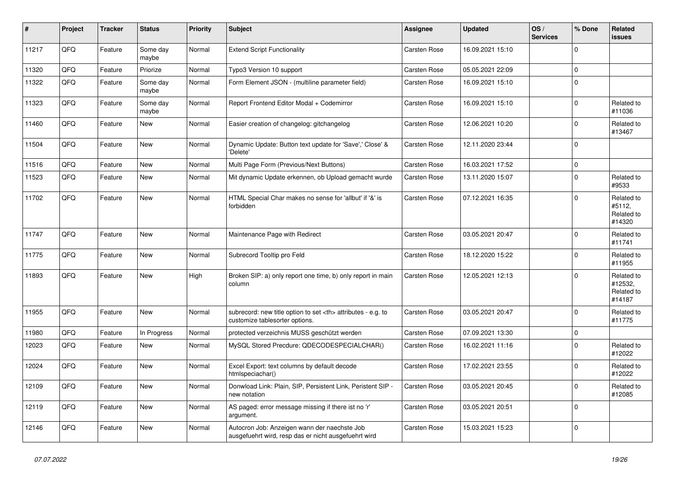| $\vert$ # | Project | <b>Tracker</b> | <b>Status</b>     | <b>Priority</b> | <b>Subject</b>                                                                                       | <b>Assignee</b>                                        | <b>Updated</b>      | OS/<br><b>Services</b> | % Done       | Related<br><b>issues</b>                      |                      |
|-----------|---------|----------------|-------------------|-----------------|------------------------------------------------------------------------------------------------------|--------------------------------------------------------|---------------------|------------------------|--------------|-----------------------------------------------|----------------------|
| 11217     | QFQ     | Feature        | Some day<br>maybe | Normal          | <b>Extend Script Functionality</b>                                                                   | Carsten Rose                                           | 16.09.2021 15:10    |                        | $\Omega$     |                                               |                      |
| 11320     | QFQ     | Feature        | Priorize          | Normal          | Typo3 Version 10 support                                                                             | Carsten Rose                                           | 05.05.2021 22:09    |                        | 0            |                                               |                      |
| 11322     | QFQ     | Feature        | Some day<br>maybe | Normal          | Form Element JSON - (multiline parameter field)                                                      | <b>Carsten Rose</b>                                    | 16.09.2021 15:10    |                        | $\pmb{0}$    |                                               |                      |
| 11323     | QFQ     | Feature        | Some day<br>maybe | Normal          | Report Frontend Editor Modal + Codemirror                                                            | Carsten Rose                                           | 16.09.2021 15:10    |                        | $\pmb{0}$    | Related to<br>#11036                          |                      |
| 11460     | QFQ     | Feature        | New               | Normal          | Easier creation of changelog: gitchangelog                                                           | Carsten Rose                                           | 12.06.2021 10:20    |                        | $\Omega$     | Related to<br>#13467                          |                      |
| 11504     | QFQ     | Feature        | New               | Normal          | Dynamic Update: Button text update for 'Save',' Close' &<br>'Delete'                                 | Carsten Rose                                           | 12.11.2020 23:44    |                        | $\mathbf{0}$ |                                               |                      |
| 11516     | QFQ     | Feature        | New               | Normal          | Multi Page Form (Previous/Next Buttons)                                                              | Carsten Rose                                           | 16.03.2021 17:52    |                        | $\pmb{0}$    |                                               |                      |
| 11523     | QFQ     | Feature        | New               | Normal          | Mit dynamic Update erkennen, ob Upload gemacht wurde                                                 | <b>Carsten Rose</b>                                    | 13.11.2020 15:07    |                        | $\pmb{0}$    | Related to<br>#9533                           |                      |
| 11702     | QFQ     | Feature        | New               | Normal          | HTML Special Char makes no sense for 'allbut' if '&' is<br>forbidden                                 | Carsten Rose                                           | 07.12.2021 16:35    |                        | $\mathbf{0}$ | Related to<br>#5112,<br>Related to<br>#14320  |                      |
| 11747     | QFQ     | Feature        | <b>New</b>        | Normal          | Maintenance Page with Redirect                                                                       | Carsten Rose                                           | 03.05.2021 20:47    |                        | $\Omega$     | Related to<br>#11741                          |                      |
| 11775     | QFQ     | Feature        | <b>New</b>        | Normal          | Subrecord Tooltip pro Feld                                                                           | Carsten Rose                                           | 18.12.2020 15:22    |                        | $\pmb{0}$    | Related to<br>#11955                          |                      |
| 11893     | QFQ     | Feature        | New               | High            | Broken SIP: a) only report one time, b) only report in main<br>column                                | Carsten Rose                                           | 12.05.2021 12:13    |                        | $\pmb{0}$    | Related to<br>#12532,<br>Related to<br>#14187 |                      |
| 11955     | QFQ     | Feature        | <b>New</b>        | Normal          | subrecord: new title option to set <th> attributes - e.g. to<br/>customize tablesorter options.</th> | attributes - e.g. to<br>customize tablesorter options. | <b>Carsten Rose</b> | 03.05.2021 20:47       |              | $\mathbf 0$                                   | Related to<br>#11775 |
| 11980     | QFQ     | Feature        | In Progress       | Normal          | protected verzeichnis MUSS geschützt werden                                                          | Carsten Rose                                           | 07.09.2021 13:30    |                        | 0            |                                               |                      |
| 12023     | QFQ     | Feature        | New               | Normal          | MySQL Stored Precdure: QDECODESPECIALCHAR()                                                          | Carsten Rose                                           | 16.02.2021 11:16    |                        | $\pmb{0}$    | Related to<br>#12022                          |                      |
| 12024     | QFQ     | Feature        | <b>New</b>        | Normal          | Excel Export: text columns by default decode<br>htmlspeciachar()                                     | Carsten Rose                                           | 17.02.2021 23:55    |                        | $\pmb{0}$    | Related to<br>#12022                          |                      |
| 12109     | QFQ     | Feature        | New               | Normal          | Donwload Link: Plain, SIP, Persistent Link, Peristent SIP -<br>new notation                          | Carsten Rose                                           | 03.05.2021 20:45    |                        | $\pmb{0}$    | Related to<br>#12085                          |                      |
| 12119     | QFQ     | Feature        | New               | Normal          | AS paged: error message missing if there ist no 'r'<br>argument.                                     | Carsten Rose                                           | 03.05.2021 20:51    |                        | $\pmb{0}$    |                                               |                      |
| 12146     | QFQ     | Feature        | <b>New</b>        | Normal          | Autocron Job: Anzeigen wann der naechste Job<br>ausgefuehrt wird, resp das er nicht ausgefuehrt wird | Carsten Rose                                           | 15.03.2021 15:23    |                        | $\mathbf 0$  |                                               |                      |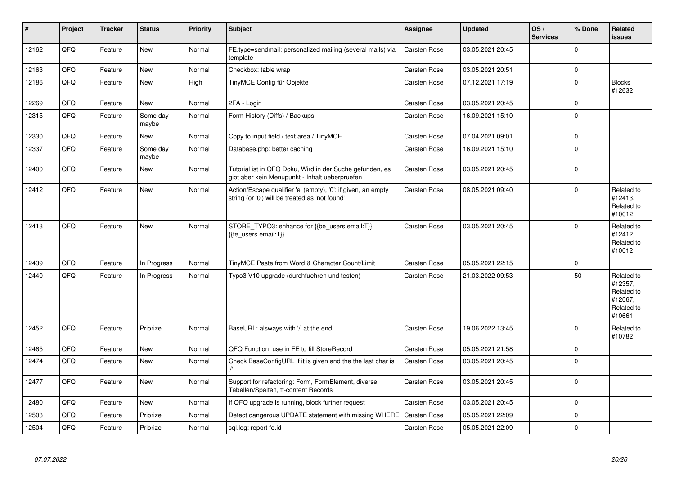| $\pmb{\#}$ | Project | <b>Tracker</b> | <b>Status</b>     | <b>Priority</b> | <b>Subject</b>                                                                                                 | Assignee            | <b>Updated</b>   | OS/<br><b>Services</b> | % Done      | Related<br><b>issues</b>                                               |
|------------|---------|----------------|-------------------|-----------------|----------------------------------------------------------------------------------------------------------------|---------------------|------------------|------------------------|-------------|------------------------------------------------------------------------|
| 12162      | QFQ     | Feature        | New               | Normal          | FE.type=sendmail: personalized mailing (several mails) via<br>template                                         | <b>Carsten Rose</b> | 03.05.2021 20:45 |                        | $\Omega$    |                                                                        |
| 12163      | QFQ     | Feature        | <b>New</b>        | Normal          | Checkbox: table wrap                                                                                           | Carsten Rose        | 03.05.2021 20:51 |                        | $\mathbf 0$ |                                                                        |
| 12186      | QFQ     | Feature        | New               | High            | TinyMCE Config für Objekte                                                                                     | Carsten Rose        | 07.12.2021 17:19 |                        | $\pmb{0}$   | <b>Blocks</b><br>#12632                                                |
| 12269      | QFQ     | Feature        | <b>New</b>        | Normal          | 2FA - Login                                                                                                    | Carsten Rose        | 03.05.2021 20:45 |                        | $\mathbf 0$ |                                                                        |
| 12315      | QFQ     | Feature        | Some day<br>maybe | Normal          | Form History (Diffs) / Backups                                                                                 | Carsten Rose        | 16.09.2021 15:10 |                        | $\pmb{0}$   |                                                                        |
| 12330      | QFQ     | Feature        | New               | Normal          | Copy to input field / text area / TinyMCE                                                                      | Carsten Rose        | 07.04.2021 09:01 |                        | $\pmb{0}$   |                                                                        |
| 12337      | QFQ     | Feature        | Some day<br>maybe | Normal          | Database.php: better caching                                                                                   | Carsten Rose        | 16.09.2021 15:10 |                        | $\pmb{0}$   |                                                                        |
| 12400      | QFQ     | Feature        | New               | Normal          | Tutorial ist in QFQ Doku, Wird in der Suche gefunden, es<br>gibt aber kein Menupunkt - Inhalt ueberpruefen     | <b>Carsten Rose</b> | 03.05.2021 20:45 |                        | $\pmb{0}$   |                                                                        |
| 12412      | QFQ     | Feature        | <b>New</b>        | Normal          | Action/Escape qualifier 'e' (empty), '0': if given, an empty<br>string (or '0') will be treated as 'not found' | Carsten Rose        | 08.05.2021 09:40 |                        | $\mathbf 0$ | Related to<br>#12413,<br>Related to<br>#10012                          |
| 12413      | QFQ     | Feature        | <b>New</b>        | Normal          | STORE_TYPO3: enhance for {{be_users.email:T}},<br>{{fe users.email:T}}                                         | <b>Carsten Rose</b> | 03.05.2021 20:45 |                        | $\mathbf 0$ | Related to<br>#12412.<br>Related to<br>#10012                          |
| 12439      | QFQ     | Feature        | In Progress       | Normal          | TinyMCE Paste from Word & Character Count/Limit                                                                | Carsten Rose        | 05.05.2021 22:15 |                        | $\mathbf 0$ |                                                                        |
| 12440      | QFQ     | Feature        | In Progress       | Normal          | Typo3 V10 upgrade (durchfuehren und testen)                                                                    | <b>Carsten Rose</b> | 21.03.2022 09:53 |                        | 50          | Related to<br>#12357,<br>Related to<br>#12067.<br>Related to<br>#10661 |
| 12452      | QFQ     | Feature        | Priorize          | Normal          | BaseURL: alsways with '/' at the end                                                                           | Carsten Rose        | 19.06.2022 13:45 |                        | $\mathbf 0$ | Related to<br>#10782                                                   |
| 12465      | QFQ     | Feature        | New               | Normal          | QFQ Function: use in FE to fill StoreRecord                                                                    | <b>Carsten Rose</b> | 05.05.2021 21:58 |                        | $\mathbf 0$ |                                                                        |
| 12474      | QFQ     | Feature        | <b>New</b>        | Normal          | Check BaseConfigURL if it is given and the the last char is                                                    | <b>Carsten Rose</b> | 03.05.2021 20:45 |                        | $\mathbf 0$ |                                                                        |
| 12477      | QFQ     | Feature        | New               | Normal          | Support for refactoring: Form, FormElement, diverse<br>Tabellen/Spalten, tt-content Records                    | Carsten Rose        | 03.05.2021 20:45 |                        | $\mathbf 0$ |                                                                        |
| 12480      | QFQ     | Feature        | New               | Normal          | If QFQ upgrade is running, block further request                                                               | Carsten Rose        | 03.05.2021 20:45 |                        | $\mathbf 0$ |                                                                        |
| 12503      | QFQ     | Feature        | Priorize          | Normal          | Detect dangerous UPDATE statement with missing WHERE                                                           | <b>Carsten Rose</b> | 05.05.2021 22:09 |                        | $\mathbf 0$ |                                                                        |
| 12504      | QFQ     | Feature        | Priorize          | Normal          | sql.log: report fe.id                                                                                          | Carsten Rose        | 05.05.2021 22:09 |                        | $\Omega$    |                                                                        |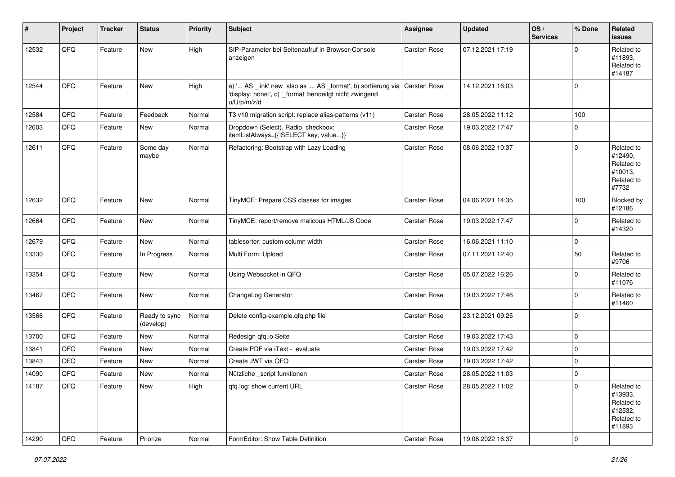| #     | Project | <b>Tracker</b> | <b>Status</b>              | <b>Priority</b> | <b>Subject</b>                                                                                                                                       | <b>Assignee</b>     | <b>Updated</b>   | OS/<br><b>Services</b> | % Done      | Related<br><b>issues</b>                                               |
|-------|---------|----------------|----------------------------|-----------------|------------------------------------------------------------------------------------------------------------------------------------------------------|---------------------|------------------|------------------------|-------------|------------------------------------------------------------------------|
| 12532 | QFQ     | Feature        | New                        | High            | SIP-Parameter bei Seitenaufruf in Browser-Console<br>anzeigen                                                                                        | Carsten Rose        | 07.12.2021 17:19 |                        | $\Omega$    | Related to<br>#11893,<br>Related to<br>#14187                          |
| 12544 | QFQ     | Feature        | <b>New</b>                 | High            | a) ' AS _link' new also as ' AS _format', b) sortierung via   Carsten Rose<br>'display: none;', c) '_format' benoeitgt nicht zwingend<br>u/U/p/m/z/d |                     | 14.12.2021 16:03 |                        | $\Omega$    |                                                                        |
| 12584 | QFQ     | Feature        | Feedback                   | Normal          | T3 v10 migration script: replace alias-patterns (v11)                                                                                                | Carsten Rose        | 28.05.2022 11:12 |                        | 100         |                                                                        |
| 12603 | QFQ     | Feature        | New                        | Normal          | Dropdown (Select), Radio, checkbox:<br>itemListAlways={{!SELECT key, value}}                                                                         | <b>Carsten Rose</b> | 19.03.2022 17:47 |                        | $\Omega$    |                                                                        |
| 12611 | QFQ     | Feature        | Some day<br>maybe          | Normal          | Refactoring: Bootstrap with Lazy Loading                                                                                                             | Carsten Rose        | 08.06.2022 10:37 |                        | $\Omega$    | Related to<br>#12490,<br>Related to<br>#10013,<br>Related to<br>#7732  |
| 12632 | QFQ     | Feature        | New                        | Normal          | TinyMCE: Prepare CSS classes for images                                                                                                              | Carsten Rose        | 04.06.2021 14:35 |                        | 100         | Blocked by<br>#12186                                                   |
| 12664 | QFQ     | Feature        | New                        | Normal          | TinyMCE: report/remove malicous HTML/JS Code                                                                                                         | Carsten Rose        | 19.03.2022 17:47 |                        | $\Omega$    | Related to<br>#14320                                                   |
| 12679 | QFQ     | Feature        | New                        | Normal          | tablesorter: custom column width                                                                                                                     | <b>Carsten Rose</b> | 16.06.2021 11:10 |                        | 0           |                                                                        |
| 13330 | QFQ     | Feature        | In Progress                | Normal          | Multi Form: Upload                                                                                                                                   | <b>Carsten Rose</b> | 07.11.2021 12:40 |                        | 50          | Related to<br>#9706                                                    |
| 13354 | QFQ     | Feature        | New                        | Normal          | Using Websocket in QFQ                                                                                                                               | Carsten Rose        | 05.07.2022 16:26 |                        | $\mathbf 0$ | Related to<br>#11076                                                   |
| 13467 | QFQ     | Feature        | New                        | Normal          | ChangeLog Generator                                                                                                                                  | Carsten Rose        | 19.03.2022 17:46 |                        | $\Omega$    | Related to<br>#11460                                                   |
| 13566 | QFQ     | Feature        | Ready to sync<br>(develop) | Normal          | Delete config-example.qfq.php file                                                                                                                   | Carsten Rose        | 23.12.2021 09:25 |                        | $\Omega$    |                                                                        |
| 13700 | QFQ     | Feature        | New                        | Normal          | Redesign qfq.io Seite                                                                                                                                | Carsten Rose        | 19.03.2022 17:43 |                        | $\mathbf 0$ |                                                                        |
| 13841 | QFQ     | Feature        | New                        | Normal          | Create PDF via iText - evaluate                                                                                                                      | Carsten Rose        | 19.03.2022 17:42 |                        | $\Omega$    |                                                                        |
| 13843 | QFQ     | Feature        | New                        | Normal          | Create JWT via QFQ                                                                                                                                   | Carsten Rose        | 19.03.2022 17:42 |                        | $\Omega$    |                                                                        |
| 14090 | QFQ     | Feature        | New                        | Normal          | Nützliche script funktionen                                                                                                                          | <b>Carsten Rose</b> | 28.05.2022 11:03 |                        | $\mathbf 0$ |                                                                        |
| 14187 | QFQ     | Feature        | New                        | High            | qfq.log: show current URL                                                                                                                            | Carsten Rose        | 28.05.2022 11:02 |                        | $\mathbf 0$ | Related to<br>#13933,<br>Related to<br>#12532,<br>Related to<br>#11893 |
| 14290 | QFQ     | Feature        | Priorize                   | Normal          | FormEditor: Show Table Definition                                                                                                                    | Carsten Rose        | 19.06.2022 16:37 |                        | $\pmb{0}$   |                                                                        |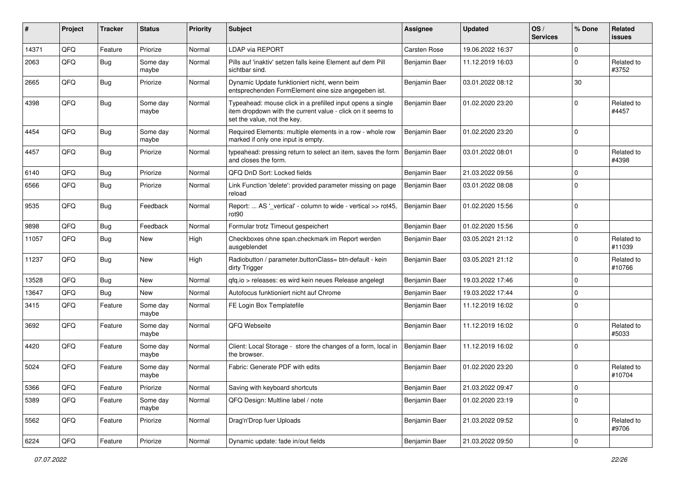| #     | Project | <b>Tracker</b> | <b>Status</b>     | <b>Priority</b> | <b>Subject</b>                                                                                                                                           | <b>Assignee</b>     | <b>Updated</b>   | OS/<br><b>Services</b> | % Done      | <b>Related</b><br><b>issues</b> |
|-------|---------|----------------|-------------------|-----------------|----------------------------------------------------------------------------------------------------------------------------------------------------------|---------------------|------------------|------------------------|-------------|---------------------------------|
| 14371 | QFQ     | Feature        | Priorize          | Normal          | LDAP via REPORT                                                                                                                                          | <b>Carsten Rose</b> | 19.06.2022 16:37 |                        | $\mathbf 0$ |                                 |
| 2063  | QFQ     | Bug            | Some day<br>maybe | Normal          | Pills auf 'inaktiv' setzen falls keine Element auf dem Pill<br>sichtbar sind.                                                                            | Benjamin Baer       | 11.12.2019 16:03 |                        | $\mathbf 0$ | Related to<br>#3752             |
| 2665  | QFQ     | Bug            | Priorize          | Normal          | Dynamic Update funktioniert nicht, wenn beim<br>entsprechenden FormElement eine size angegeben ist.                                                      | Benjamin Baer       | 03.01.2022 08:12 |                        | 30          |                                 |
| 4398  | QFQ     | Bug            | Some day<br>maybe | Normal          | Typeahead: mouse click in a prefilled input opens a single<br>item dropdown with the current value - click on it seems to<br>set the value, not the key. | Benjamin Baer       | 01.02.2020 23:20 |                        | $\mathbf 0$ | Related to<br>#4457             |
| 4454  | QFQ     | Bug            | Some day<br>maybe | Normal          | Required Elements: multiple elements in a row - whole row<br>marked if only one input is empty.                                                          | Benjamin Baer       | 01.02.2020 23:20 |                        | $\mathbf 0$ |                                 |
| 4457  | QFQ     | Bug            | Priorize          | Normal          | typeahead: pressing return to select an item, saves the form<br>and closes the form.                                                                     | Benjamin Baer       | 03.01.2022 08:01 |                        | $\mathbf 0$ | Related to<br>#4398             |
| 6140  | QFQ     | Bug            | Priorize          | Normal          | QFQ DnD Sort: Locked fields                                                                                                                              | Benjamin Baer       | 21.03.2022 09:56 |                        | $\mathbf 0$ |                                 |
| 6566  | QFQ     | <b>Bug</b>     | Priorize          | Normal          | Link Function 'delete': provided parameter missing on page<br>reload                                                                                     | Benjamin Baer       | 03.01.2022 08:08 |                        | $\mathbf 0$ |                                 |
| 9535  | QFQ     | Bug            | Feedback          | Normal          | Report:  AS '_vertical' - column to wide - vertical >> rot45,<br>rot90                                                                                   | Benjamin Baer       | 01.02.2020 15:56 |                        | $\mathbf 0$ |                                 |
| 9898  | QFQ     | <b>Bug</b>     | Feedback          | Normal          | Formular trotz Timeout gespeichert                                                                                                                       | Benjamin Baer       | 01.02.2020 15:56 |                        | $\mathbf 0$ |                                 |
| 11057 | QFQ     | <b>Bug</b>     | New               | High            | Checkboxes ohne span.checkmark im Report werden<br>ausgeblendet                                                                                          | Benjamin Baer       | 03.05.2021 21:12 |                        | $\Omega$    | Related to<br>#11039            |
| 11237 | QFQ     | Bug            | New               | High            | Radiobutton / parameter.buttonClass= btn-default - kein<br>dirty Trigger                                                                                 | Benjamin Baer       | 03.05.2021 21:12 |                        | $\mathbf 0$ | Related to<br>#10766            |
| 13528 | QFQ     | Bug            | <b>New</b>        | Normal          | qfq.io > releases: es wird kein neues Release angelegt                                                                                                   | Benjamin Baer       | 19.03.2022 17:46 |                        | $\mathbf 0$ |                                 |
| 13647 | QFQ     | Bug            | New               | Normal          | Autofocus funktioniert nicht auf Chrome                                                                                                                  | Benjamin Baer       | 19.03.2022 17:44 |                        | $\mathbf 0$ |                                 |
| 3415  | QFQ     | Feature        | Some day<br>maybe | Normal          | FE Login Box Templatefile                                                                                                                                | Benjamin Baer       | 11.12.2019 16:02 |                        | $\Omega$    |                                 |
| 3692  | QFQ     | Feature        | Some day<br>maybe | Normal          | QFQ Webseite                                                                                                                                             | Benjamin Baer       | 11.12.2019 16:02 |                        | $\mathbf 0$ | Related to<br>#5033             |
| 4420  | QFQ     | Feature        | Some day<br>maybe | Normal          | Client: Local Storage - store the changes of a form, local in<br>the browser.                                                                            | Benjamin Baer       | 11.12.2019 16:02 |                        | $\mathbf 0$ |                                 |
| 5024  | QFQ     | Feature        | Some day<br>maybe | Normal          | Fabric: Generate PDF with edits                                                                                                                          | Benjamin Baer       | 01.02.2020 23:20 |                        | $\mathbf 0$ | Related to<br>#10704            |
| 5366  | QFQ     | Feature        | Priorize          | Normal          | Saving with keyboard shortcuts                                                                                                                           | Benjamin Baer       | 21.03.2022 09:47 |                        | $\pmb{0}$   |                                 |
| 5389  | QFQ     | Feature        | Some day<br>maybe | Normal          | QFQ Design: Multline label / note                                                                                                                        | Benjamin Baer       | 01.02.2020 23:19 |                        | $\mathbf 0$ |                                 |
| 5562  | QFQ     | Feature        | Priorize          | Normal          | Drag'n'Drop fuer Uploads                                                                                                                                 | Benjamin Baer       | 21.03.2022 09:52 |                        | $\pmb{0}$   | Related to<br>#9706             |
| 6224  | QFG     | Feature        | Priorize          | Normal          | Dynamic update: fade in/out fields                                                                                                                       | Benjamin Baer       | 21.03.2022 09:50 |                        | $\pmb{0}$   |                                 |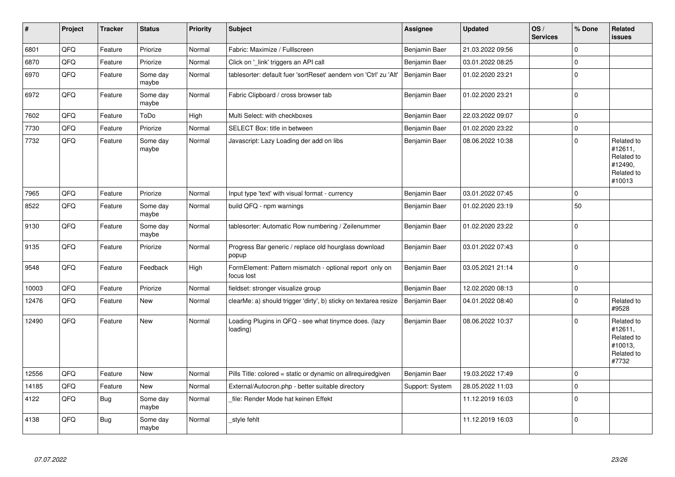| $\vert$ # | Project | <b>Tracker</b> | <b>Status</b>     | <b>Priority</b> | <b>Subject</b>                                                        | <b>Assignee</b> | <b>Updated</b>   | OS/<br><b>Services</b> | % Done      | Related<br><b>issues</b>                                               |
|-----------|---------|----------------|-------------------|-----------------|-----------------------------------------------------------------------|-----------------|------------------|------------------------|-------------|------------------------------------------------------------------------|
| 6801      | QFQ     | Feature        | Priorize          | Normal          | Fabric: Maximize / Fulllscreen                                        | Benjamin Baer   | 21.03.2022 09:56 |                        | $\mathbf 0$ |                                                                        |
| 6870      | QFQ     | Feature        | Priorize          | Normal          | Click on '_link' triggers an API call                                 | Benjamin Baer   | 03.01.2022 08:25 |                        | $\mathbf 0$ |                                                                        |
| 6970      | QFQ     | Feature        | Some day<br>maybe | Normal          | tablesorter: default fuer 'sortReset' aendern von 'Ctrl' zu 'Alt'     | Benjamin Baer   | 01.02.2020 23:21 |                        | $\mathbf 0$ |                                                                        |
| 6972      | QFQ     | Feature        | Some day<br>maybe | Normal          | Fabric Clipboard / cross browser tab                                  | Benjamin Baer   | 01.02.2020 23:21 |                        | $\pmb{0}$   |                                                                        |
| 7602      | QFQ     | Feature        | ToDo              | High            | Multi Select: with checkboxes                                         | Benjamin Baer   | 22.03.2022 09:07 |                        | $\mathbf 0$ |                                                                        |
| 7730      | QFQ     | Feature        | Priorize          | Normal          | SELECT Box: title in between                                          | Benjamin Baer   | 01.02.2020 23:22 |                        | $\pmb{0}$   |                                                                        |
| 7732      | QFQ     | Feature        | Some day<br>maybe | Normal          | Javascript: Lazy Loading der add on libs                              | Benjamin Baer   | 08.06.2022 10:38 |                        | $\mathbf 0$ | Related to<br>#12611,<br>Related to<br>#12490,<br>Related to<br>#10013 |
| 7965      | QFQ     | Feature        | Priorize          | Normal          | Input type 'text' with visual format - currency                       | Benjamin Baer   | 03.01.2022 07:45 |                        | $\mathbf 0$ |                                                                        |
| 8522      | QFQ     | Feature        | Some day<br>maybe | Normal          | build QFQ - npm warnings                                              | Benjamin Baer   | 01.02.2020 23:19 |                        | 50          |                                                                        |
| 9130      | QFQ     | Feature        | Some day<br>maybe | Normal          | tablesorter: Automatic Row numbering / Zeilenummer                    | Benjamin Baer   | 01.02.2020 23:22 |                        | $\mathbf 0$ |                                                                        |
| 9135      | QFQ     | Feature        | Priorize          | Normal          | Progress Bar generic / replace old hourglass download<br>popup        | Benjamin Baer   | 03.01.2022 07:43 |                        | $\pmb{0}$   |                                                                        |
| 9548      | QFQ     | Feature        | Feedback          | High            | FormElement: Pattern mismatch - optional report only on<br>focus lost | Benjamin Baer   | 03.05.2021 21:14 |                        | $\mathbf 0$ |                                                                        |
| 10003     | QFQ     | Feature        | Priorize          | Normal          | fieldset: stronger visualize group                                    | Benjamin Baer   | 12.02.2020 08:13 |                        | $\pmb{0}$   |                                                                        |
| 12476     | QFQ     | Feature        | New               | Normal          | clearMe: a) should trigger 'dirty', b) sticky on textarea resize      | Benjamin Baer   | 04.01.2022 08:40 |                        | $\mathbf 0$ | Related to<br>#9528                                                    |
| 12490     | QFQ     | Feature        | New               | Normal          | Loading Plugins in QFQ - see what tinymce does. (lazy<br>loading)     | Benjamin Baer   | 08.06.2022 10:37 |                        | $\mathbf 0$ | Related to<br>#12611,<br>Related to<br>#10013,<br>Related to<br>#7732  |
| 12556     | QFQ     | Feature        | New               | Normal          | Pills Title: colored = static or dynamic on allrequiredgiven          | Benjamin Baer   | 19.03.2022 17:49 |                        | $\mathbf 0$ |                                                                        |
| 14185     | QFQ     | Feature        | New               | Normal          | External/Autocron.php - better suitable directory                     | Support: System | 28.05.2022 11:03 |                        | $\mathbf 0$ |                                                                        |
| 4122      | QFQ     | Bug            | Some day<br>maybe | Normal          | file: Render Mode hat keinen Effekt                                   |                 | 11.12.2019 16:03 |                        | $\mathbf 0$ |                                                                        |
| 4138      | QFQ     | Bug            | Some day<br>maybe | Normal          | _style fehlt                                                          |                 | 11.12.2019 16:03 |                        | $\pmb{0}$   |                                                                        |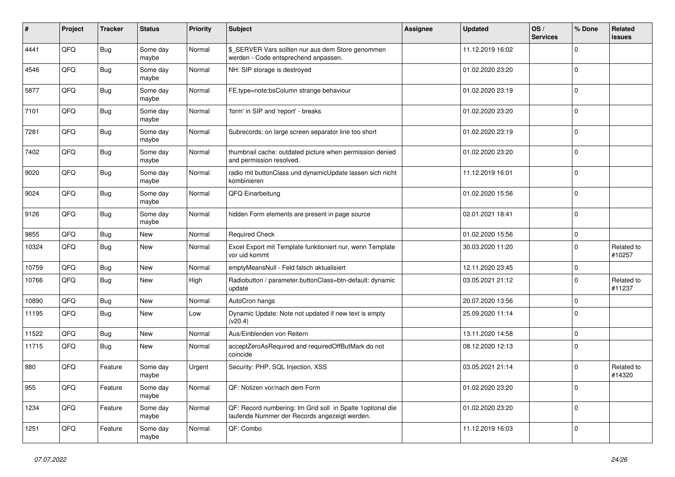| #     | Project | <b>Tracker</b> | <b>Status</b>     | <b>Priority</b> | <b>Subject</b>                                                                                               | <b>Assignee</b> | <b>Updated</b>   | OS/<br><b>Services</b> | % Done      | Related<br><b>issues</b> |
|-------|---------|----------------|-------------------|-----------------|--------------------------------------------------------------------------------------------------------------|-----------------|------------------|------------------------|-------------|--------------------------|
| 4441  | QFQ     | <b>Bug</b>     | Some day<br>maybe | Normal          | \$_SERVER Vars sollten nur aus dem Store genommen<br>werden - Code entsprechend anpassen.                    |                 | 11.12.2019 16:02 |                        | $\mathbf 0$ |                          |
| 4546  | QFQ     | <b>Bug</b>     | Some day<br>maybe | Normal          | NH: SIP storage is destroyed                                                                                 |                 | 01.02.2020 23:20 |                        | $\pmb{0}$   |                          |
| 5877  | QFQ     | <b>Bug</b>     | Some day<br>maybe | Normal          | FE.type=note:bsColumn strange behaviour                                                                      |                 | 01.02.2020 23:19 |                        | $\Omega$    |                          |
| 7101  | QFQ     | <b>Bug</b>     | Some day<br>maybe | Normal          | 'form' in SIP and 'report' - breaks                                                                          |                 | 01.02.2020 23:20 |                        | $\mathbf 0$ |                          |
| 7281  | QFQ     | <b>Bug</b>     | Some day<br>maybe | Normal          | Subrecords: on large screen separator line too short                                                         |                 | 01.02.2020 23:19 |                        | $\mathbf 0$ |                          |
| 7402  | QFQ     | <b>Bug</b>     | Some day<br>maybe | Normal          | thumbnail cache: outdated picture when permission denied<br>and permission resolved.                         |                 | 01.02.2020 23:20 |                        | $\mathbf 0$ |                          |
| 9020  | QFQ     | Bug            | Some day<br>maybe | Normal          | radio mit buttonClass und dynamicUpdate lassen sich nicht<br>kombinieren                                     |                 | 11.12.2019 16:01 |                        | $\Omega$    |                          |
| 9024  | QFQ     | <b>Bug</b>     | Some day<br>maybe | Normal          | QFQ Einarbeitung                                                                                             |                 | 01.02.2020 15:56 |                        | $\mathbf 0$ |                          |
| 9126  | QFQ     | Bug            | Some day<br>maybe | Normal          | hidden Form elements are present in page source                                                              |                 | 02.01.2021 18:41 |                        | $\mathbf 0$ |                          |
| 9855  | QFQ     | Bug            | <b>New</b>        | Normal          | <b>Required Check</b>                                                                                        |                 | 01.02.2020 15:56 |                        | $\mathsf 0$ |                          |
| 10324 | QFQ     | Bug            | <b>New</b>        | Normal          | Excel Export mit Template funktioniert nur, wenn Template<br>vor uid kommt                                   |                 | 30.03.2020 11:20 |                        | $\mathbf 0$ | Related to<br>#10257     |
| 10759 | QFQ     | <b>Bug</b>     | New               | Normal          | emptyMeansNull - Feld falsch aktualisiert                                                                    |                 | 12.11.2020 23:45 |                        | $\pmb{0}$   |                          |
| 10766 | QFQ     | Bug            | New               | High            | Radiobutton / parameter.buttonClass=btn-default: dynamic<br>update                                           |                 | 03.05.2021 21:12 |                        | $\mathbf 0$ | Related to<br>#11237     |
| 10890 | QFQ     | <b>Bug</b>     | <b>New</b>        | Normal          | AutoCron hangs                                                                                               |                 | 20.07.2020 13:56 |                        | $\mathbf 0$ |                          |
| 11195 | QFQ     | <b>Bug</b>     | <b>New</b>        | Low             | Dynamic Update: Note not updated if new text is empty<br>(v20.4)                                             |                 | 25.09.2020 11:14 |                        | $\mathbf 0$ |                          |
| 11522 | QFQ     | <b>Bug</b>     | <b>New</b>        | Normal          | Aus/Einblenden von Reitern                                                                                   |                 | 13.11.2020 14:58 |                        | $\mathbf 0$ |                          |
| 11715 | QFQ     | Bug            | New               | Normal          | acceptZeroAsRequired and requiredOffButMark do not<br>coincide                                               |                 | 08.12.2020 12:13 |                        | $\mathbf 0$ |                          |
| 880   | QFQ     | Feature        | Some day<br>maybe | Urgent          | Security: PHP, SQL Injection, XSS                                                                            |                 | 03.05.2021 21:14 |                        | $\mathbf 0$ | Related to<br>#14320     |
| 955   | QFQ     | Feature        | Some day<br>maybe | Normal          | QF: Notizen vor/nach dem Form                                                                                |                 | 01.02.2020 23:20 |                        | $\mathbf 0$ |                          |
| 1234  | QFQ     | Feature        | Some day<br>maybe | Normal          | QF: Record numbering: Im Grid soll in Spalte 1 optional die<br>laufende Nummer der Records angezeigt werden. |                 | 01.02.2020 23:20 |                        | $\mathbf 0$ |                          |
| 1251  | QFQ     | Feature        | Some day<br>maybe | Normal          | QF: Combo                                                                                                    |                 | 11.12.2019 16:03 |                        | $\mathbf 0$ |                          |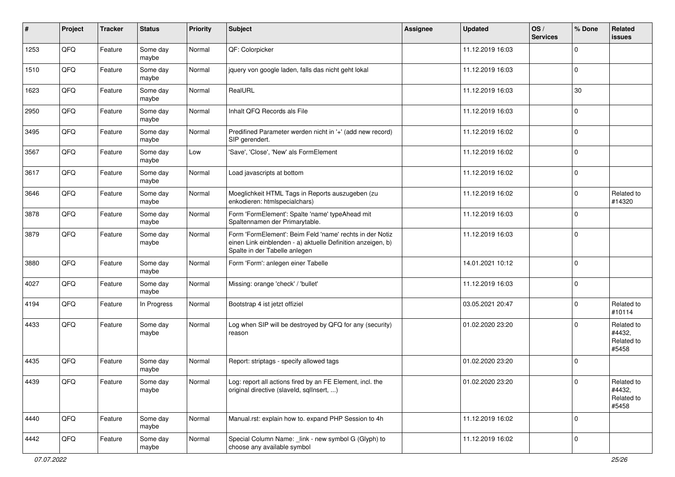| #    | Project | <b>Tracker</b> | <b>Status</b>     | <b>Priority</b> | <b>Subject</b>                                                                                                                                           | <b>Assignee</b> | <b>Updated</b>   | OS/<br><b>Services</b> | % Done      | Related<br><b>issues</b>                    |
|------|---------|----------------|-------------------|-----------------|----------------------------------------------------------------------------------------------------------------------------------------------------------|-----------------|------------------|------------------------|-------------|---------------------------------------------|
| 1253 | QFQ     | Feature        | Some day<br>maybe | Normal          | QF: Colorpicker                                                                                                                                          |                 | 11.12.2019 16:03 |                        | $\mathbf 0$ |                                             |
| 1510 | QFQ     | Feature        | Some day<br>maybe | Normal          | jquery von google laden, falls das nicht geht lokal                                                                                                      |                 | 11.12.2019 16:03 |                        | $\mathbf 0$ |                                             |
| 1623 | QFQ     | Feature        | Some day<br>maybe | Normal          | RealURL                                                                                                                                                  |                 | 11.12.2019 16:03 |                        | 30          |                                             |
| 2950 | QFQ     | Feature        | Some day<br>maybe | Normal          | Inhalt QFQ Records als File                                                                                                                              |                 | 11.12.2019 16:03 |                        | $\mathbf 0$ |                                             |
| 3495 | QFQ     | Feature        | Some day<br>maybe | Normal          | Predifined Parameter werden nicht in '+' (add new record)<br>SIP gerendert.                                                                              |                 | 11.12.2019 16:02 |                        | $\mathbf 0$ |                                             |
| 3567 | QFQ     | Feature        | Some day<br>maybe | Low             | 'Save', 'Close', 'New' als FormElement                                                                                                                   |                 | 11.12.2019 16:02 |                        | $\mathbf 0$ |                                             |
| 3617 | QFQ     | Feature        | Some day<br>maybe | Normal          | Load javascripts at bottom                                                                                                                               |                 | 11.12.2019 16:02 |                        | $\mathbf 0$ |                                             |
| 3646 | QFQ     | Feature        | Some day<br>maybe | Normal          | Moeglichkeit HTML Tags in Reports auszugeben (zu<br>enkodieren: htmlspecialchars)                                                                        |                 | 11.12.2019 16:02 |                        | $\mathbf 0$ | Related to<br>#14320                        |
| 3878 | QFQ     | Feature        | Some day<br>maybe | Normal          | Form 'FormElement': Spalte 'name' typeAhead mit<br>Spaltennamen der Primarytable.                                                                        |                 | 11.12.2019 16:03 |                        | $\mathbf 0$ |                                             |
| 3879 | QFQ     | Feature        | Some day<br>maybe | Normal          | Form 'FormElement': Beim Feld 'name' rechts in der Notiz<br>einen Link einblenden - a) aktuelle Definition anzeigen, b)<br>Spalte in der Tabelle anlegen |                 | 11.12.2019 16:03 |                        | $\mathbf 0$ |                                             |
| 3880 | QFQ     | Feature        | Some day<br>maybe | Normal          | Form 'Form': anlegen einer Tabelle                                                                                                                       |                 | 14.01.2021 10:12 |                        | $\mathbf 0$ |                                             |
| 4027 | QFQ     | Feature        | Some day<br>maybe | Normal          | Missing: orange 'check' / 'bullet'                                                                                                                       |                 | 11.12.2019 16:03 |                        | $\mathbf 0$ |                                             |
| 4194 | QFQ     | Feature        | In Progress       | Normal          | Bootstrap 4 ist jetzt offiziel                                                                                                                           |                 | 03.05.2021 20:47 |                        | $\mathbf 0$ | Related to<br>#10114                        |
| 4433 | QFQ     | Feature        | Some day<br>maybe | Normal          | Log when SIP will be destroyed by QFQ for any (security)<br>reason                                                                                       |                 | 01.02.2020 23:20 |                        | $\mathbf 0$ | Related to<br>#4432,<br>Related to<br>#5458 |
| 4435 | QFQ     | Feature        | Some day<br>maybe | Normal          | Report: striptags - specify allowed tags                                                                                                                 |                 | 01.02.2020 23:20 |                        | $\mathbf 0$ |                                             |
| 4439 | QFQ     | Feature        | Some day<br>maybe | Normal          | Log: report all actions fired by an FE Element, incl. the<br>original directive (slaveld, sqllnsert, )                                                   |                 | 01.02.2020 23:20 |                        | $\pmb{0}$   | Related to<br>#4432,<br>Related to<br>#5458 |
| 4440 | QFQ     | Feature        | Some day<br>maybe | Normal          | Manual.rst: explain how to. expand PHP Session to 4h                                                                                                     |                 | 11.12.2019 16:02 |                        | $\mathbf 0$ |                                             |
| 4442 | QFQ     | Feature        | Some day<br>maybe | Normal          | Special Column Name: _link - new symbol G (Glyph) to<br>choose any available symbol                                                                      |                 | 11.12.2019 16:02 |                        | $\mathbf 0$ |                                             |